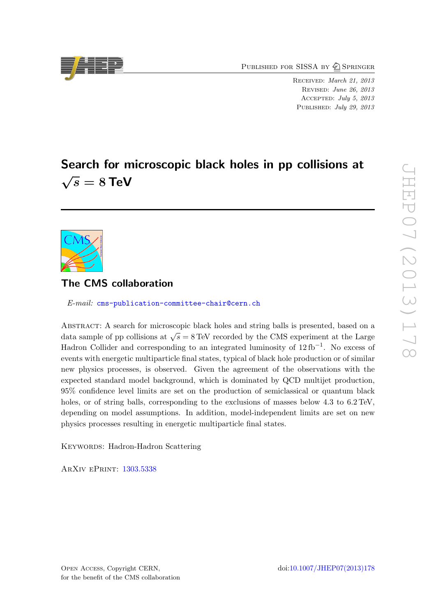PUBLISHED FOR SISSA BY 2 SPRINGER

Received: March 21, 2013 Revised: June 26, 2013 Accepted: July 5, 2013 PUBLISHED: July 29, 2013

# Search for microscopic black holes in pp collisions at  $\sqrt{s} = 8$  TeV



## The CMS collaboration

E-mail: [cms-publication-committee-chair@cern.ch](mailto:cms-publication-committee-chair@cern.ch)

Abstract: A search for microscopic black holes and string balls is presented, based on a data sample of pp collisions at  $\sqrt{s} = 8$  TeV recorded by the CMS experiment at the Large Hadron Collider and corresponding to an integrated luminosity of  $12 \text{ fb}^{-1}$ . No excess of events with energetic multiparticle final states, typical of black hole production or of similar new physics processes, is observed. Given the agreement of the observations with the expected standard model background, which is dominated by QCD multijet production, 95% confidence level limits are set on the production of semiclassical or quantum black holes, or of string balls, corresponding to the exclusions of masses below 4.3 to 6.2 TeV, depending on model assumptions. In addition, model-independent limits are set on new physics processes resulting in energetic multiparticle final states.

KEYWORDS: Hadron-Hadron Scattering

ArXiv ePrint: [1303.5338](http://arxiv.org/abs/1303.5338)

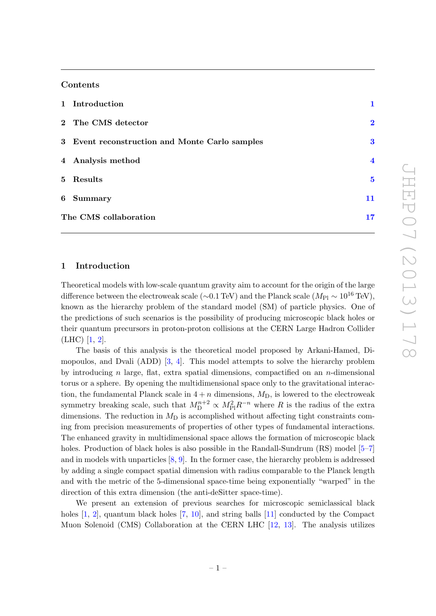## Contents

| 1 Introduction                                 | $\mathbf{1}$            |  |  |  |
|------------------------------------------------|-------------------------|--|--|--|
| 2 The CMS detector                             | $\mathbf 2$             |  |  |  |
| 3 Event reconstruction and Monte Carlo samples | $\bf{3}$                |  |  |  |
| 4 Analysis method                              | $\overline{\mathbf{4}}$ |  |  |  |
| 5 Results                                      | $\bf{5}$                |  |  |  |
| 6 Summary                                      | 11                      |  |  |  |
| The CMS collaboration                          |                         |  |  |  |

#### <span id="page-1-0"></span>1 Introduction

Theoretical models with low-scale quantum gravity aim to account for the origin of the large difference between the electroweak scale (∼0.1 TeV) and the Planck scale ( $M_{\text{Pl}} \sim 10^{16}$  TeV), known as the hierarchy problem of the standard model (SM) of particle physics. One of the predictions of such scenarios is the possibility of producing microscopic black holes or their quantum precursors in proton-proton collisions at the CERN Large Hadron Collider (LHC) [\[1,](#page-14-0) [2\]](#page-14-1).

The basis of this analysis is the theoretical model proposed by Arkani-Hamed, Dimopoulos, and Dvali (ADD)  $[3, 4]$  $[3, 4]$  $[3, 4]$ . This model attempts to solve the hierarchy problem by introducing n large, flat, extra spatial dimensions, compactified on an n-dimensional torus or a sphere. By opening the multidimensional space only to the gravitational interaction, the fundamental Planck scale in  $4 + n$  dimensions,  $M_D$ , is lowered to the electroweak symmetry breaking scale, such that  $M_{\text{D}}^{n+2} \propto M_{\text{Pl}}^2 R^{-n}$  where R is the radius of the extra dimensions. The reduction in  $M<sub>D</sub>$  is accomplished without affecting tight constraints coming from precision measurements of properties of other types of fundamental interactions. The enhanced gravity in multidimensional space allows the formation of microscopic black holes. Production of black holes is also possible in the Randall-Sundrum (RS) model [\[5](#page-14-4)[–7\]](#page-14-5) and in models with unparticles [\[8,](#page-14-6) [9\]](#page-14-7). In the former case, the hierarchy problem is addressed by adding a single compact spatial dimension with radius comparable to the Planck length and with the metric of the 5-dimensional space-time being exponentially "warped" in the direction of this extra dimension (the anti-deSitter space-time).

We present an extension of previous searches for microscopic semiclassical black holes  $[1, 2]$  $[1, 2]$  $[1, 2]$ , quantum black holes  $[7, 10]$  $[7, 10]$  $[7, 10]$ , and string balls  $[11]$  conducted by the Compact Muon Solenoid (CMS) Collaboration at the CERN LHC [\[12,](#page-14-10) [13\]](#page-14-11). The analysis utilizes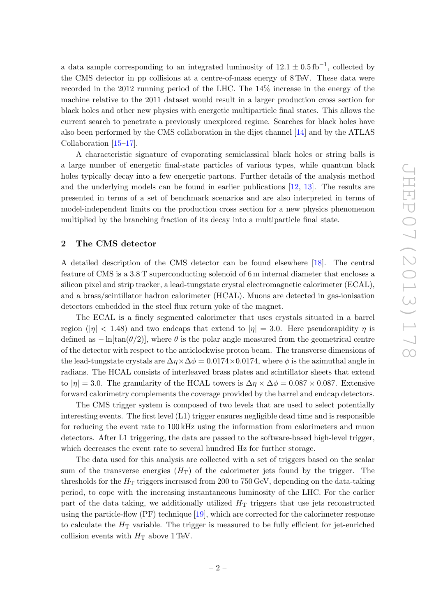a data sample corresponding to an integrated luminosity of  $12.1 \pm 0.5$  fb<sup>-1</sup>, collected by the CMS detector in pp collisions at a centre-of-mass energy of 8 TeV. These data were recorded in the 2012 running period of the LHC. The 14% increase in the energy of the machine relative to the 2011 dataset would result in a larger production cross section for black holes and other new physics with energetic multiparticle final states. This allows the current search to penetrate a previously unexplored regime. Searches for black holes have also been performed by the CMS collaboration in the dijet channel [\[14\]](#page-14-12) and by the ATLAS Collaboration [\[15–](#page-14-13)[17\]](#page-14-14).

A characteristic signature of evaporating semiclassical black holes or string balls is a large number of energetic final-state particles of various types, while quantum black holes typically decay into a few energetic partons. Further details of the analysis method and the underlying models can be found in earlier publications [\[12,](#page-14-10) [13\]](#page-14-11). The results are presented in terms of a set of benchmark scenarios and are also interpreted in terms of model-independent limits on the production cross section for a new physics phenomenon multiplied by the branching fraction of its decay into a multiparticle final state.

### <span id="page-2-0"></span>2 The CMS detector

A detailed description of the CMS detector can be found elsewhere [\[18\]](#page-15-0). The central feature of CMS is a 3.8 T superconducting solenoid of 6 m internal diameter that encloses a silicon pixel and strip tracker, a lead-tungstate crystal electromagnetic calorimeter (ECAL), and a brass/scintillator hadron calorimeter (HCAL). Muons are detected in gas-ionisation detectors embedded in the steel flux return yoke of the magnet.

The ECAL is a finely segmented calorimeter that uses crystals situated in a barrel region ( $|\eta|$  < 1.48) and two endcaps that extend to  $|\eta| = 3.0$ . Here pseudorapidity  $\eta$  is defined as  $-\ln[\tan(\theta/2)]$ , where  $\theta$  is the polar angle measured from the geometrical centre of the detector with respect to the anticlockwise proton beam. The transverse dimensions of the lead-tungstate crystals are  $\Delta \eta \times \Delta \phi = 0.0174 \times 0.0174$ , where  $\phi$  is the azimuthal angle in radians. The HCAL consists of interleaved brass plates and scintillator sheets that extend to  $|\eta| = 3.0$ . The granularity of the HCAL towers is  $\Delta \eta \times \Delta \phi = 0.087 \times 0.087$ . Extensive forward calorimetry complements the coverage provided by the barrel and endcap detectors.

The CMS trigger system is composed of two levels that are used to select potentially interesting events. The first level  $(L1)$  trigger ensures negligible dead time and is responsible for reducing the event rate to 100 kHz using the information from calorimeters and muon detectors. After L1 triggering, the data are passed to the software-based high-level trigger, which decreases the event rate to several hundred Hz for further storage.

The data used for this analysis are collected with a set of triggers based on the scalar sum of the transverse energies  $(H_T)$  of the calorimeter jets found by the trigger. The thresholds for the  $H<sub>T</sub>$  triggers increased from 200 to 750 GeV, depending on the data-taking period, to cope with the increasing instantaneous luminosity of the LHC. For the earlier part of the data taking, we additionally utilized  $H<sub>T</sub>$  triggers that use jets reconstructed using the particle-flow (PF) technique [\[19\]](#page-15-1), which are corrected for the calorimeter response to calculate the  $H<sub>T</sub>$  variable. The trigger is measured to be fully efficient for jet-enriched collision events with  $H<sub>T</sub>$  above 1 TeV.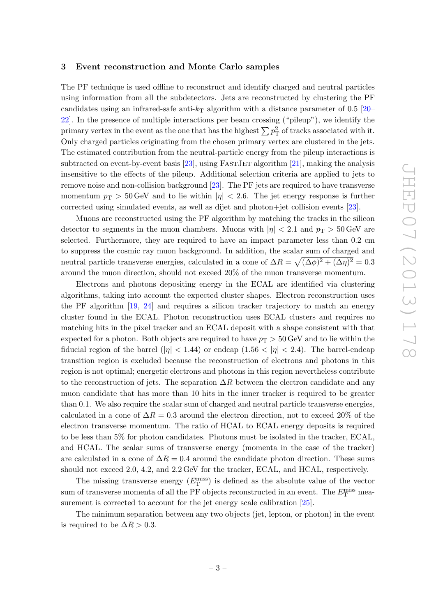#### <span id="page-3-0"></span>3 Event reconstruction and Monte Carlo samples

The PF technique is used offline to reconstruct and identify charged and neutral particles using information from all the subdetectors. Jets are reconstructed by clustering the PF candidates using an infrared-safe anti- $k<sub>T</sub>$  algorithm with a distance parameter of 0.5 [\[20–](#page-15-2) [22\]](#page-15-3). In the presence of multiple interactions per beam crossing ("pileup"), we identify the primary vertex in the event as the one that has the highest  $\sum p_T^2$  of tracks associated with it. Only charged particles originating from the chosen primary vertex are clustered in the jets. The estimated contribution from the neutral-particle energy from the pileup interactions is subtracted on event-by-event basis  $[23]$ , using FASTJET algorithm  $[21]$ , making the analysis insensitive to the effects of the pileup. Additional selection criteria are applied to jets to remove noise and non-collision background [\[23\]](#page-15-4). The PF jets are required to have transverse momentum  $p_T > 50$  GeV and to lie within  $|\eta| < 2.6$ . The jet energy response is further corrected using simulated events, as well as dijet and photon+jet collision events [\[23\]](#page-15-4).

Muons are reconstructed using the PF algorithm by matching the tracks in the silicon detector to segments in the muon chambers. Muons with  $|\eta| < 2.1$  and  $p_T > 50$  GeV are selected. Furthermore, they are required to have an impact parameter less than 0.2 cm to suppress the cosmic ray muon background. In addition, the scalar sum of charged and neutral particle transverse energies, calculated in a cone of  $\Delta R = \sqrt{(\Delta \phi)^2 + (\Delta \eta)^2} = 0.3$ around the muon direction, should not exceed 20% of the muon transverse momentum.

Electrons and photons depositing energy in the ECAL are identified via clustering algorithms, taking into account the expected cluster shapes. Electron reconstruction uses the PF algorithm [\[19,](#page-15-1) [24\]](#page-15-6) and requires a silicon tracker trajectory to match an energy cluster found in the ECAL. Photon reconstruction uses ECAL clusters and requires no matching hits in the pixel tracker and an ECAL deposit with a shape consistent with that expected for a photon. Both objects are required to have  $p_T > 50$  GeV and to lie within the fiducial region of the barrel ( $|\eta|$  < 1.44) or endcap (1.56 <  $|\eta|$  < 2.4). The barrel-endcap transition region is excluded because the reconstruction of electrons and photons in this region is not optimal; energetic electrons and photons in this region nevertheless contribute to the reconstruction of jets. The separation  $\Delta R$  between the electron candidate and any muon candidate that has more than 10 hits in the inner tracker is required to be greater than 0.1. We also require the scalar sum of charged and neutral particle transverse energies, calculated in a cone of  $\Delta R = 0.3$  around the electron direction, not to exceed 20% of the electron transverse momentum. The ratio of HCAL to ECAL energy deposits is required to be less than 5% for photon candidates. Photons must be isolated in the tracker, ECAL, and HCAL. The scalar sums of transverse energy (momenta in the case of the tracker) are calculated in a cone of  $\Delta R = 0.4$  around the candidate photon direction. These sums should not exceed 2.0, 4.2, and 2.2 GeV for the tracker, ECAL, and HCAL, respectively.

The missing transverse energy  $(E_{\text{T}}^{\text{miss}})$  is defined as the absolute value of the vector sum of transverse momenta of all the PF objects reconstructed in an event. The  $E_{\rm T}^{\rm miss}$  mea-surement is corrected to account for the jet energy scale calibration [\[25\]](#page-15-7).

The minimum separation between any two objects (jet, lepton, or photon) in the event is required to be  $\Delta R > 0.3$ .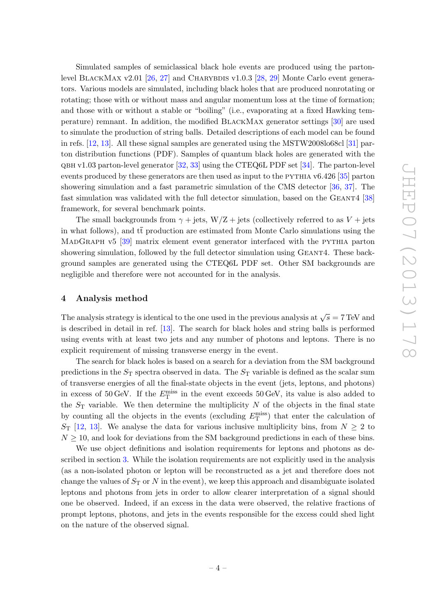Simulated samples of semiclassical black hole events are produced using the parton-level BLACKMAX v2.01 [\[26,](#page-15-8) [27\]](#page-15-9) and CHARYBDIS v1.0.3 [\[28,](#page-15-10) [29\]](#page-15-11) Monte Carlo event generators. Various models are simulated, including black holes that are produced nonrotating or rotating; those with or without mass and angular momentum loss at the time of formation; and those with or without a stable or "boiling" (i.e., evaporating at a fixed Hawking temperature) remnant. In addition, the modified BlackMax generator settings [\[30\]](#page-15-12) are used to simulate the production of string balls. Detailed descriptions of each model can be found in refs. [\[12,](#page-14-10) [13\]](#page-14-11). All these signal samples are generated using the MSTW2008lo68cl [\[31\]](#page-15-13) parton distribution functions (PDF). Samples of quantum black holes are generated with the  $\phi$ BH v1.03 parton-level generator [\[32,](#page-15-14) [33\]](#page-15-15) using the CTEQ6L PDF set [\[34\]](#page-15-16). The parton-level events produced by these generators are then used as input to the PYTHIA v6.426 [\[35\]](#page-15-17) parton showering simulation and a fast parametric simulation of the CMS detector [\[36,](#page-15-18) [37\]](#page-15-19). The fast simulation was validated with the full detector simulation, based on the GEANT4 [\[38\]](#page-16-0) framework, for several benchmark points.

The small backgrounds from  $\gamma$  + jets, W/Z + jets (collectively referred to as V + jets in what follows), and  $t\bar{t}$  production are estimated from Monte Carlo simulations using the MADGRAPH v5 [\[39\]](#page-16-1) matrix element event generator interfaced with the PYTHIA parton showering simulation, followed by the full detector simulation using Geant4. These background samples are generated using the CTEQ6L PDF set. Other SM backgrounds are negligible and therefore were not accounted for in the analysis.

#### <span id="page-4-0"></span>4 Analysis method

The analysis strategy is identical to the one used in the previous analysis at  $\sqrt{s} = 7$  TeV and is described in detail in ref. [\[13\]](#page-14-11). The search for black holes and string balls is performed using events with at least two jets and any number of photons and leptons. There is no explicit requirement of missing transverse energy in the event.

The search for black holes is based on a search for a deviation from the SM background predictions in the  $S_T$  spectra observed in data. The  $S_T$  variable is defined as the scalar sum of transverse energies of all the final-state objects in the event (jets, leptons, and photons) in excess of 50 GeV. If the  $E_{\rm T}^{\rm miss}$  in the event exceeds 50 GeV, its value is also added to the  $S_T$  variable. We then determine the multiplicity N of the objects in the final state by counting all the objects in the events (excluding  $E_{\text{T}}^{\text{miss}}$ ) that enter the calculation of  $S_T$  [\[12,](#page-14-10) [13\]](#page-14-11). We analyse the data for various inclusive multiplicity bins, from  $N \geq 2$  to  $N \geq 10$ , and look for deviations from the SM background predictions in each of these bins.

We use object definitions and isolation requirements for leptons and photons as described in section [3.](#page-3-0) While the isolation requirements are not explicitly used in the analysis (as a non-isolated photon or lepton will be reconstructed as a jet and therefore does not change the values of  $S_T$  or N in the event), we keep this approach and disambiguate isolated leptons and photons from jets in order to allow clearer interpretation of a signal should one be observed. Indeed, if an excess in the data were observed, the relative fractions of prompt leptons, photons, and jets in the events responsible for the excess could shed light on the nature of the observed signal.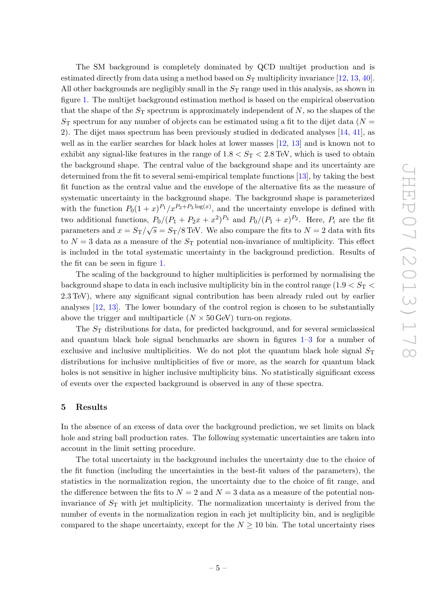The SM background is completely dominated by QCD multijet production and is estimated directly from data using a method based on  $S_T$  multiplicity invariance [\[12,](#page-14-10) [13,](#page-14-11) [40\]](#page-16-2). All other backgrounds are negligibly small in the  $S_T$  range used in this analysis, as shown in figure [1.](#page-6-0) The multijet background estimation method is based on the empirical observation that the shape of the  $S_T$  spectrum is approximately independent of N, so the shapes of the  $S_T$  spectrum for any number of objects can be estimated using a fit to the dijet data ( $N =$ 2). The dijet mass spectrum has been previously studied in dedicated analyses [\[14,](#page-14-12) [41\]](#page-16-3), as well as in the earlier searches for black holes at lower masses [\[12,](#page-14-10) [13\]](#page-14-11) and is known not to exhibit any signal-like features in the range of  $1.8 < S_T < 2.8$  TeV, which is used to obtain the background shape. The central value of the background shape and its uncertainty are determined from the fit to several semi-empirical template functions [\[13\]](#page-14-11), by taking the best fit function as the central value and the envelope of the alternative fits as the measure of systematic uncertainty in the background shape. The background shape is parameterized with the function  $P_0(1+x)^{P_1}/x^{P_2+P_3 \log(x)}$ , and the uncertainty envelope is defined with two additional functions,  $P_0/(P_1 + P_2x + x^2)^{P_3}$  and  $P_0/(P_1 + x)^{P_2}$ . Here,  $P_i$  are the fit parameters and  $x = S_T/\sqrt{s} = S_T/8$  TeV. We also compare the fits to  $N = 2$  data with fits to  $N = 3$  data as a measure of the  $S_T$  potential non-invariance of multiplicity. This effect is included in the total systematic uncertainty in the background prediction. Results of the fit can be seen in figure [1.](#page-6-0)

The scaling of the background to higher multiplicities is performed by normalising the background shape to data in each inclusive multiplicity bin in the control range  $(1.9 < S_T <$ 2.3 TeV), where any significant signal contribution has been already ruled out by earlier analyses [\[12,](#page-14-10) [13\]](#page-14-11). The lower boundary of the control region is chosen to be substantially above the trigger and multiparticle  $(N \times 50 \,\text{GeV})$  turn-on regions.

The  $S_T$  distributions for data, for predicted background, and for several semiclassical and quantum black hole signal benchmarks are shown in figures  $1-3$  $1-3$  for a number of exclusive and inclusive multiplicities. We do not plot the quantum black hole signal  $S_T$ distributions for inclusive multiplicities of five or more, as the search for quantum black holes is not sensitive in higher inclusive multiplicity bins. No statistically significant excess of events over the expected background is observed in any of these spectra.

#### <span id="page-5-0"></span>5 Results

In the absence of an excess of data over the background prediction, we set limits on black hole and string ball production rates. The following systematic uncertainties are taken into account in the limit setting procedure.

The total uncertainty in the background includes the uncertainty due to the choice of the fit function (including the uncertainties in the best-fit values of the parameters), the statistics in the normalization region, the uncertainty due to the choice of fit range, and the difference between the fits to  $N = 2$  and  $N = 3$  data as a measure of the potential noninvariance of  $S_{\rm T}$  with jet multiplicity. The normalization uncertainty is derived from the number of events in the normalization region in each jet multiplicity bin, and is negligible compared to the shape uncertainty, except for the  $N \geq 10$  bin. The total uncertainty rises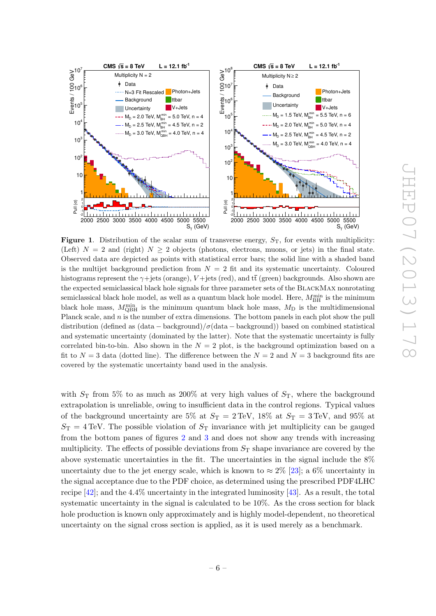

<span id="page-6-0"></span>**Figure 1.** Distribution of the scalar sum of transverse energy,  $S_T$ , for events with multiplicity: (Left)  $N = 2$  and (right)  $N \ge 2$  objects (photons, electrons, muons, or jets) in the final state. Observed data are depicted as points with statistical error bars; the solid line with a shaded band is the multijet background prediction from  $N = 2$  fit and its systematic uncertainty. Coloured histograms represent the  $\gamma$ +jets (orange), V+jets (red), and  $t\bar{t}$  (green) backgrounds. Also shown are the expected semiclassical black hole signals for three parameter sets of the BlackMax nonrotating semiclassical black hole model, as well as a quantum black hole model. Here,  $M_{\rm BH}^{\rm min}$  is the minimum black hole mass,  $M_{\text{QBH}}^{\text{min}}$  is the minimum quantum black hole mass,  $M_{\text{D}}$  is the multidimensional Planck scale, and  $n$  is the number of extra dimensions. The bottom panels in each plot show the pull distribution (defined as  $(data - background)/\sigma(data - background)$ ) based on combined statistical and systematic uncertainty (dominated by the latter). Note that the systematic uncertainty is fully correlated bin-to-bin. Also shown in the  $N = 2$  plot, is the background optimization based on a fit to  $N = 3$  data (dotted line). The difference between the  $N = 2$  and  $N = 3$  background fits are covered by the systematic uncertainty band used in the analysis.

with  $S_T$  from 5% to as much as 200% at very high values of  $S_T$ , where the background extrapolation is unreliable, owing to insufficient data in the control regions. Typical values of the background uncertainty are 5% at  $S_T = 2 \text{ TeV}$ , 18% at  $S_T = 3 \text{ TeV}$ , and 95% at  $S_T = 4 \text{ TeV}$ . The possible violation of  $S_T$  invariance with jet multiplicity can be gauged from the bottom panes of figures [2](#page-7-0) and [3](#page-8-0) and does not show any trends with increasing multiplicity. The effects of possible deviations from  $S<sub>T</sub>$  shape invariance are covered by the above systematic uncertainties in the fit. The uncertainties in the signal include the 8% uncertainty due to the jet energy scale, which is known to  $\approx 2\%$  [\[23\]](#page-15-4); a 6% uncertainty in the signal acceptance due to the PDF choice, as determined using the prescribed PDF4LHC recipe  $[42]$ ; and the 4.4% uncertainty in the integrated luminosity  $[43]$ . As a result, the total systematic uncertainty in the signal is calculated to be 10%. As the cross section for black hole production is known only approximately and is highly model-dependent, no theoretical uncertainty on the signal cross section is applied, as it is used merely as a benchmark.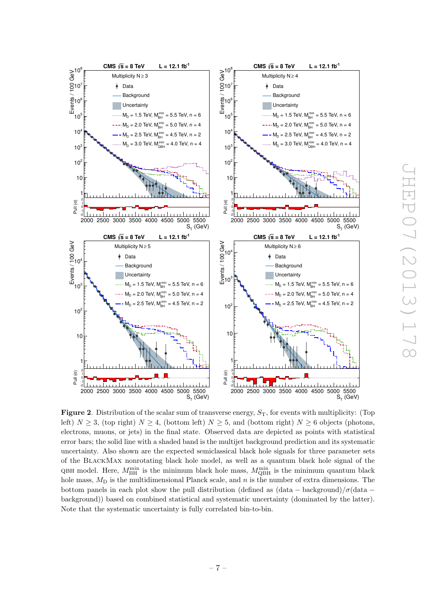

<span id="page-7-0"></span>**Figure 2.** Distribution of the scalar sum of transverse energy,  $S_T$ , for events with multiplicity: (Top left)  $N \geq 3$ , (top right)  $N \geq 4$ , (bottom left)  $N \geq 5$ , and (bottom right)  $N \geq 6$  objects (photons, electrons, muons, or jets) in the final state. Observed data are depicted as points with statistical error bars; the solid line with a shaded band is the multijet background prediction and its systematic uncertainty. Also shown are the expected semiclassical black hole signals for three parameter sets of the BlackMax nonrotating black hole model, as well as a quantum black hole signal of the QBH model. Here,  $M_{\rm BH}^{\rm min}$  is the minimum black hole mass,  $M_{\rm QBH}^{\rm min}$  is the minimum quantum black hole mass,  $M<sub>D</sub>$  is the multidimensional Planck scale, and n is the number of extra dimensions. The bottom panels in each plot show the pull distribution (defined as  $(data - background)/\sigma(data$ background)) based on combined statistical and systematic uncertainty (dominated by the latter). Note that the systematic uncertainty is fully correlated bin-to-bin.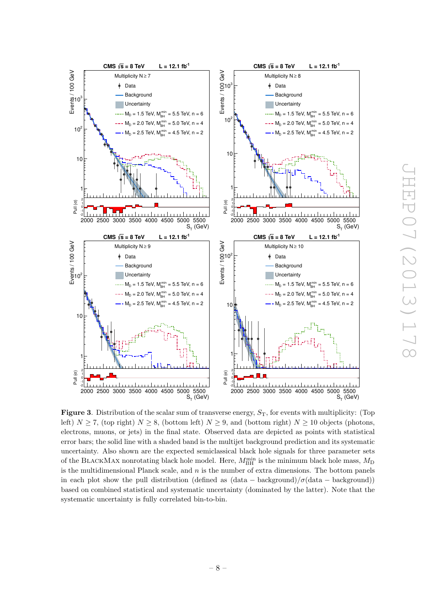

<span id="page-8-0"></span>Figure 3. Distribution of the scalar sum of transverse energy,  $S_T$ , for events with multiplicity: (Top left)  $N \ge 7$ , (top right)  $N \ge 8$ , (bottom left)  $N \ge 9$ , and (bottom right)  $N \ge 10$  objects (photons, electrons, muons, or jets) in the final state. Observed data are depicted as points with statistical error bars; the solid line with a shaded band is the multijet background prediction and its systematic uncertainty. Also shown are the expected semiclassical black hole signals for three parameter sets of the BLACKMAX nonrotating black hole model. Here,  $M_{\rm BH}^{\rm min}$  is the minimum black hole mass,  $M_{\rm D}$ is the multidimensional Planck scale, and  $n$  is the number of extra dimensions. The bottom panels in each plot show the pull distribution (defined as  $(data - background)/\sigma(data - background))$ based on combined statistical and systematic uncertainty (dominated by the latter). Note that the systematic uncertainty is fully correlated bin-to-bin.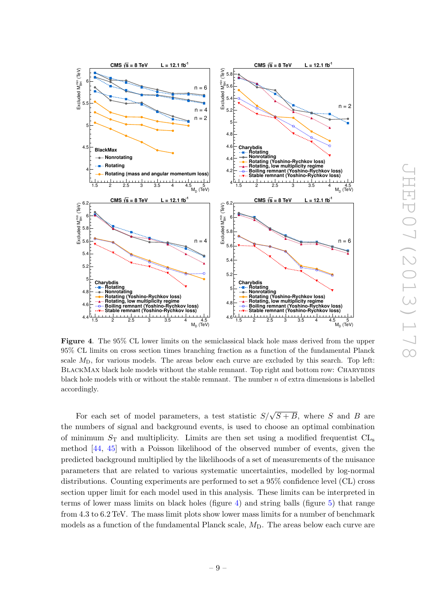

<span id="page-9-0"></span>Figure 4. The 95% CL lower limits on the semiclassical black hole mass derived from the upper 95% CL limits on cross section times branching fraction as a function of the fundamental Planck scale  $M_D$ , for various models. The areas below each curve are excluded by this search. Top left: BLACKMAX black hole models without the stable remnant. Top right and bottom row: CHARYBDIS black hole models with or without the stable remnant. The number  $n$  of extra dimensions is labelled accordingly.

For each set of model parameters, a test statistic  $S/\sqrt{S+B}$ , where S and B are the numbers of signal and background events, is used to choose an optimal combination of minimum  $S_T$  and multiplicity. Limits are then set using a modified frequentist  $CL_s$ method [\[44,](#page-16-6) [45\]](#page-16-7) with a Poisson likelihood of the observed number of events, given the predicted background multiplied by the likelihoods of a set of measurements of the nuisance parameters that are related to various systematic uncertainties, modelled by log-normal distributions. Counting experiments are performed to set a 95% confidence level (CL) cross section upper limit for each model used in this analysis. These limits can be interpreted in terms of lower mass limits on black holes (figure [4\)](#page-9-0) and string balls (figure [5\)](#page-11-1) that range from 4.3 to 6.2 TeV. The mass limit plots show lower mass limits for a number of benchmark models as a function of the fundamental Planck scale,  $M_D$ . The areas below each curve are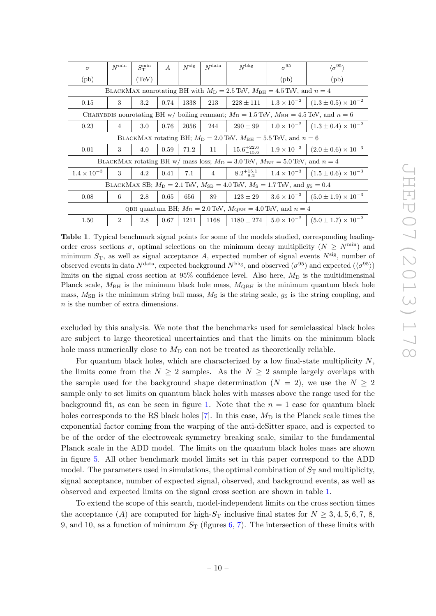| $\sigma$                                                                                      | $N^{\min}$     | $S_{\rm T}^{\rm min}$ | $\overline{A}$ | $N^{\rm sig}$ | $N^{\rm data}$ | $N^{\rm bkg}$      | $\sigma^{95}$ | $\langle \sigma^{95} \rangle$                                                                                                             |  |  |  |
|-----------------------------------------------------------------------------------------------|----------------|-----------------------|----------------|---------------|----------------|--------------------|---------------|-------------------------------------------------------------------------------------------------------------------------------------------|--|--|--|
| $(\text{pb})$                                                                                 |                | (TeV)                 |                |               |                |                    | $(\text{pb})$ | $(\text{pb})$                                                                                                                             |  |  |  |
| BLACKMAX nonrotating BH with $M_D = 2.5$ TeV, $M_{BH} = 4.5$ TeV, and $n = 4$                 |                |                       |                |               |                |                    |               |                                                                                                                                           |  |  |  |
| 0.15                                                                                          | 3              | $3.2^{\circ}$         | 0.74           | 1338          | 213            | $228 \pm 111$      |               | $1.3 \times 10^{-2}$ $(1.3 \pm 0.5) \times 10^{-2}$                                                                                       |  |  |  |
| CHARYBDIS nonrotating BH w/ boiling remnant; $M_D = 1.5$ TeV, $M_{BH} = 4.5$ TeV, and $n = 6$ |                |                       |                |               |                |                    |               |                                                                                                                                           |  |  |  |
| 0.23                                                                                          | 4              | 3.0                   | 0.76           | 2056          |                | 244   290 $\pm$ 99 |               | $1.0 \times 10^{-2}$ $(1.3 \pm 0.4) \times 10^{-2}$                                                                                       |  |  |  |
| BLACKMAX rotating BH; $M_D = 2.0 \text{ TeV}$ , $M_{BH} = 5.5 \text{ TeV}$ , and $n = 6$      |                |                       |                |               |                |                    |               |                                                                                                                                           |  |  |  |
| 0.01                                                                                          | 3              | 4.0                   | 0.59           | 71.2          | 11             |                    |               | $15.6^{+22.6}_{-15.6}$ $\mid$ $1.9 \times 10^{-3}$ $\mid$ $(2.0 \pm 0.6) \times 10^{-3}$                                                  |  |  |  |
| BLACKMAX rotating BH w/ mass loss; $M_D = 3.0$ TeV, $M_{BH} = 5.0$ TeV, and $n = 4$           |                |                       |                |               |                |                    |               |                                                                                                                                           |  |  |  |
| $1.4 \times 10^{-3}$                                                                          | 3              | 4.2                   | 0.41           | 7.1           |                |                    |               | 4 $\begin{array}{ c c c c c c c c } \hline 4 & 8.2_{-8.2}^{+15.1} & 1.4 \times 10^{-3} & (1.5 \pm 0.6) \times 10^{-3} \hline \end{array}$ |  |  |  |
| BLACKMAX SB; $M_D = 2.1$ TeV, $M_{SB} = 4.0$ TeV, $M_S = 1.7$ TeV, and $g_S = 0.4$            |                |                       |                |               |                |                    |               |                                                                                                                                           |  |  |  |
| 0.08                                                                                          | 6              | 2.8                   | 0.65           | 656           | 89             | $123 \pm 29$       |               | $3.6 \times 10^{-3}$ $(5.0 \pm 1.9) \times 10^{-3}$                                                                                       |  |  |  |
| QBH quantum BH; $M_D = 2.0 \text{ TeV}$ , $M_{QBH} = 4.0 \text{ TeV}$ , and $n = 4$           |                |                       |                |               |                |                    |               |                                                                                                                                           |  |  |  |
| 1.50                                                                                          | $\overline{2}$ | 2.8                   | 0.67           | 1211          | 1168           |                    |               | $1180 \pm 274$   $5.0 \times 10^{-2}$   $(5.0 \pm 1.7) \times 10^{-2}$                                                                    |  |  |  |

<span id="page-10-0"></span>Table 1. Typical benchmark signal points for some of the models studied, corresponding leadingorder cross sections  $\sigma$ , optimal selections on the minimum decay multiplicity ( $N \ge N^{\text{min}}$ ) and minimum  $S_T$ , as well as signal acceptance A, expected number of signal events  $N^{\text{sig}}$ , number of observed events in data  $N^{\text{data}}$ , expected background  $N^{\text{bkg}}$ , and observed  $(\sigma^{95})$  and expected  $(\langle \sigma^{95} \rangle)$ limits on the signal cross section at  $95\%$  confidence level. Also here,  $M_D$  is the multidimensinal Planck scale,  $M_{\text{BH}}$  is the minimum black hole mass,  $M_{\text{OBH}}$  is the minimum quantum black hole mass,  $M_{\rm SB}$  is the minimum string ball mass,  $M_{\rm S}$  is the string scale,  $g_{\rm S}$  is the string coupling, and n is the number of extra dimensions.

excluded by this analysis. We note that the benchmarks used for semiclassical black holes are subject to large theoretical uncertainties and that the limits on the minimum black hole mass numerically close to  $M_D$  can not be treated as theoretically reliable.

For quantum black holes, which are characterized by a low final-state multiplicity  $N$ , the limits come from the  $N \geq 2$  samples. As the  $N \geq 2$  sample largely overlaps with the sample used for the background shape determination  $(N = 2)$ , we use the  $N \geq 2$ sample only to set limits on quantum black holes with masses above the range used for the background fit, as can be seen in figure [1.](#page-6-0) Note that the  $n = 1$  case for quantum black holes corresponds to the RS black holes  $[7]$ . In this case,  $M_D$  is the Planck scale times the exponential factor coming from the warping of the anti-deSitter space, and is expected to be of the order of the electroweak symmetry breaking scale, similar to the fundamental Planck scale in the ADD model. The limits on the quantum black holes mass are shown in figure [5.](#page-11-1) All other benchmark model limits set in this paper correspond to the ADD model. The parameters used in simulations, the optimal combination of  $S_T$  and multiplicity, signal acceptance, number of expected signal, observed, and background events, as well as observed and expected limits on the signal cross section are shown in table [1.](#page-10-0)

To extend the scope of this search, model-independent limits on the cross section times the acceptance (A) are computed for high- $S_T$  inclusive final states for  $N \geq 3, 4, 5, 6, 7, 8$ , 9, and 10, as a function of minimum  $S_T$  (figures [6,](#page-12-0) [7\)](#page-13-0). The intersection of these limits with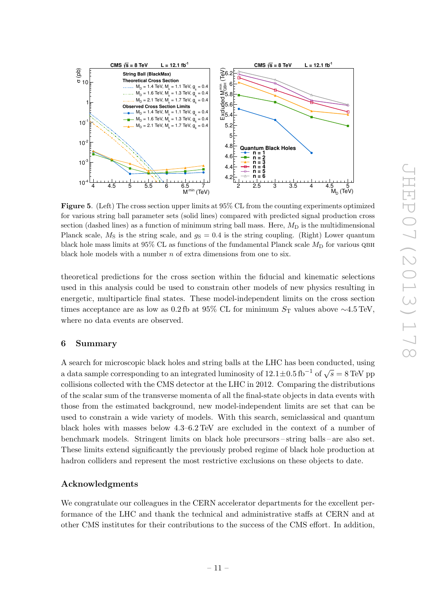

<span id="page-11-1"></span>Figure 5. (Left) The cross section upper limits at 95% CL from the counting experiments optimized for various string ball parameter sets (solid lines) compared with predicted signal production cross section (dashed lines) as a function of minimum string ball mass. Here,  $M<sub>D</sub>$  is the multidimensional Planck scale,  $M<sub>S</sub>$  is the string scale, and  $g<sub>S</sub> = 0.4$  is the string coupling. (Right) Lower quantum black hole mass limits at 95% CL as functions of the fundamental Planck scale  $M_D$  for various QBH black hole models with a number  $n$  of extra dimensions from one to six.

theoretical predictions for the cross section within the fiducial and kinematic selections used in this analysis could be used to constrain other models of new physics resulting in energetic, multiparticle final states. These model-independent limits on the cross section times acceptance are as low as 0.2 fb at 95% CL for minimum  $S_T$  values above ~4.5 TeV, where no data events are observed.

#### <span id="page-11-0"></span>6 Summary

A search for microscopic black holes and string balls at the LHC has been conducted, using a data sample corresponding to an integrated luminosity of  $12.1 \pm 0.5$  fb<sup>-1</sup> of  $\sqrt{s} = 8$  TeV pp collisions collected with the CMS detector at the LHC in 2012. Comparing the distributions of the scalar sum of the transverse momenta of all the final-state objects in data events with those from the estimated background, new model-independent limits are set that can be used to constrain a wide variety of models. With this search, semiclassical and quantum black holes with masses below 4.3–6.2 TeV are excluded in the context of a number of benchmark models. Stringent limits on black hole precursors – string balls – are also set. These limits extend significantly the previously probed regime of black hole production at hadron colliders and represent the most restrictive exclusions on these objects to date.

### Acknowledgments

We congratulate our colleagues in the CERN accelerator departments for the excellent performance of the LHC and thank the technical and administrative staffs at CERN and at other CMS institutes for their contributions to the success of the CMS effort. In addition,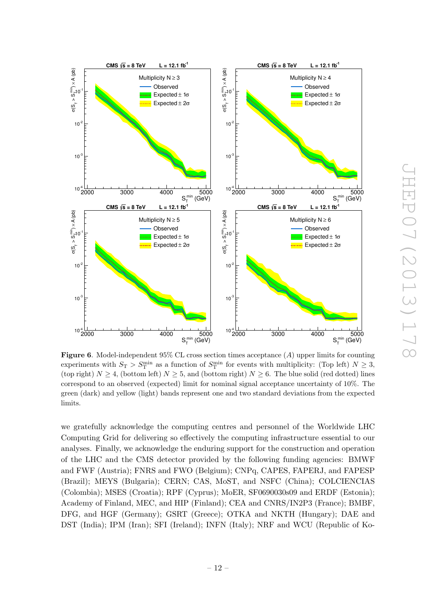

<span id="page-12-0"></span>**Figure 6.** Model-independent  $95\%$  CL cross section times acceptance  $(A)$  upper limits for counting experiments with  $S_{\text{T}} > S_{\text{T}}^{\min}$  as a function of  $S_{\text{T}}^{\min}$  for events with multiplicity: (Top left)  $N \geq 3$ , (top right)  $N \geq 4$ , (bottom left)  $N \geq 5$ , and (bottom right)  $N \geq 6$ . The blue solid (red dotted) lines correspond to an observed (expected) limit for nominal signal acceptance uncertainty of 10%. The green (dark) and yellow (light) bands represent one and two standard deviations from the expected limits.

we gratefully acknowledge the computing centres and personnel of the Worldwide LHC Computing Grid for delivering so effectively the computing infrastructure essential to our analyses. Finally, we acknowledge the enduring support for the construction and operation of the LHC and the CMS detector provided by the following funding agencies: BMWF and FWF (Austria); FNRS and FWO (Belgium); CNPq, CAPES, FAPERJ, and FAPESP (Brazil); MEYS (Bulgaria); CERN; CAS, MoST, and NSFC (China); COLCIENCIAS (Colombia); MSES (Croatia); RPF (Cyprus); MoER, SF0690030s09 and ERDF (Estonia); Academy of Finland, MEC, and HIP (Finland); CEA and CNRS/IN2P3 (France); BMBF, DFG, and HGF (Germany); GSRT (Greece); OTKA and NKTH (Hungary); DAE and DST (India); IPM (Iran); SFI (Ireland); INFN (Italy); NRF and WCU (Republic of Ko-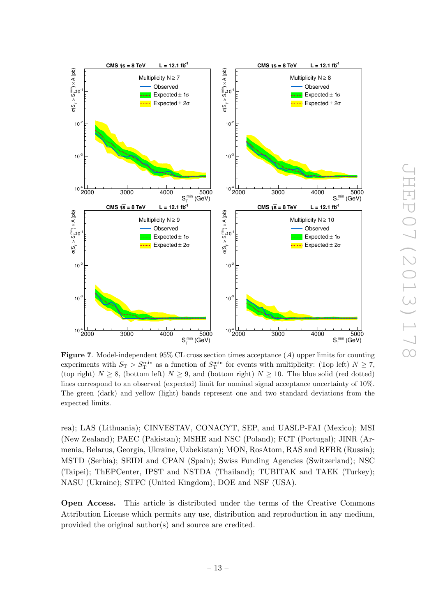

 $\infty$ 



<span id="page-13-0"></span>**Figure 7.** Model-independent  $95\%$  CL cross section times acceptance  $(A)$  upper limits for counting experiments with  $S_{\text{T}} > S_{\text{T}}^{\min}$  as a function of  $S_{\text{T}}^{\min}$  for events with multiplicity: (Top left)  $N \geq 7$ , (top right)  $N \geq 8$ , (bottom left)  $N \geq 9$ , and (bottom right)  $N \geq 10$ . The blue solid (red dotted) lines correspond to an observed (expected) limit for nominal signal acceptance uncertainty of 10%. The green (dark) and yellow (light) bands represent one and two standard deviations from the expected limits.

rea); LAS (Lithuania); CINVESTAV, CONACYT, SEP, and UASLP-FAI (Mexico); MSI (New Zealand); PAEC (Pakistan); MSHE and NSC (Poland); FCT (Portugal); JINR (Armenia, Belarus, Georgia, Ukraine, Uzbekistan); MON, RosAtom, RAS and RFBR (Russia); MSTD (Serbia); SEIDI and CPAN (Spain); Swiss Funding Agencies (Switzerland); NSC (Taipei); ThEPCenter, IPST and NSTDA (Thailand); TUBITAK and TAEK (Turkey); NASU (Ukraine); STFC (United Kingdom); DOE and NSF (USA).

Open Access. This article is distributed under the terms of the Creative Commons Attribution License which permits any use, distribution and reproduction in any medium, provided the original author(s) and source are credited.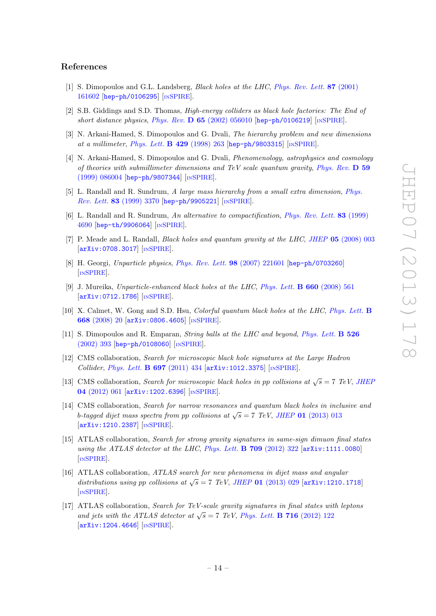#### References

- <span id="page-14-0"></span>[1] S. Dimopoulos and G.L. Landsberg, Black holes at the LHC, [Phys. Rev. Lett.](http://dx.doi.org/10.1103/PhysRevLett.87.161602) 87 (2001) [161602](http://dx.doi.org/10.1103/PhysRevLett.87.161602) [[hep-ph/0106295](http://arxiv.org/abs/hep-ph/0106295)] [IN[SPIRE](http://inspirehep.net/search?p=find+EPRINT+hep-ph/0106295)].
- <span id="page-14-1"></span>[2] S.B. Giddings and S.D. Thomas, High-energy colliders as black hole factories: The End of short distance physics, Phys. Rev.  $\bf{D} 65 (2002) 056010$  $\bf{D} 65 (2002) 056010$  [[hep-ph/0106219](http://arxiv.org/abs/hep-ph/0106219)] [IN[SPIRE](http://inspirehep.net/search?p=find+EPRINT+hep-ph/0106219)].
- <span id="page-14-2"></span>[3] N. Arkani-Hamed, S. Dimopoulos and G. Dvali, The hierarchy problem and new dimensions at a millimeter, [Phys. Lett.](http://dx.doi.org/10.1016/S0370-2693(98)00466-3) B 429 (1998) 263 [[hep-ph/9803315](http://arxiv.org/abs/hep-ph/9803315)] [IN[SPIRE](http://inspirehep.net/search?p=find+EPRINT+hep-ph/9803315)].
- <span id="page-14-3"></span>[4] N. Arkani-Hamed, S. Dimopoulos and G. Dvali, Phenomenology, astrophysics and cosmology of theories with submillimeter dimensions and TeV scale quantum gravity, [Phys. Rev.](http://dx.doi.org/10.1103/PhysRevD.59.086004)  $\bf{D}$  59 [\(1999\) 086004](http://dx.doi.org/10.1103/PhysRevD.59.086004) [[hep-ph/9807344](http://arxiv.org/abs/hep-ph/9807344)] [IN[SPIRE](http://inspirehep.net/search?p=find+EPRINT+hep-ph/9807344)].
- <span id="page-14-4"></span>[5] L. Randall and R. Sundrum, A large mass hierarchy from a small extra dimension, [Phys.](http://dx.doi.org/10.1103/PhysRevLett.83.3370) Rev. Lett. 83 [\(1999\) 3370](http://dx.doi.org/10.1103/PhysRevLett.83.3370) [[hep-ph/9905221](http://arxiv.org/abs/hep-ph/9905221)] [IN[SPIRE](http://inspirehep.net/search?p=find+EPRINT+hep-ph/9905221)].
- [6] L. Randall and R. Sundrum, An alternative to compactification, [Phys. Rev. Lett.](http://dx.doi.org/10.1103/PhysRevLett.83.4690) 83 (1999) [4690](http://dx.doi.org/10.1103/PhysRevLett.83.4690) [[hep-th/9906064](http://arxiv.org/abs/hep-th/9906064)] [IN[SPIRE](http://inspirehep.net/search?p=find+EPRINT+hep-th/9906064)].
- <span id="page-14-5"></span>[7] P. Meade and L. Randall, *Black holes and quantum gravity at the LHC*, *JHEP* 05 [\(2008\) 003](http://dx.doi.org/10.1088/1126-6708/2008/05/003) [[arXiv:0708.3017](http://arxiv.org/abs/0708.3017)] [IN[SPIRE](http://inspirehep.net/search?p=find+EPRINT+arXiv:0708.3017)].
- <span id="page-14-6"></span>[8] H. Georgi, Unparticle physics, [Phys. Rev. Lett.](http://dx.doi.org/10.1103/PhysRevLett.98.221601) 98 (2007) 221601 [[hep-ph/0703260](http://arxiv.org/abs/hep-ph/0703260)] [IN[SPIRE](http://inspirehep.net/search?p=find+EPRINT+hep-ph/0703260)].
- <span id="page-14-7"></span>[9] J. Mureika, Unparticle-enhanced black holes at the LHC, [Phys. Lett.](http://dx.doi.org/10.1016/j.physletb.2008.01.050) B 660 (2008) 561 [[arXiv:0712.1786](http://arxiv.org/abs/0712.1786)] [IN[SPIRE](http://inspirehep.net/search?p=find+EPRINT+arXiv:0712.1786)].
- <span id="page-14-8"></span>[10] X. Calmet, W. Gong and S.D. Hsu, *Colorful quantum black holes at the LHC*, *[Phys. Lett.](http://dx.doi.org/10.1016/j.physletb.2008.08.011)* **B** 668 [\(2008\) 20](http://dx.doi.org/10.1016/j.physletb.2008.08.011) [[arXiv:0806.4605](http://arxiv.org/abs/0806.4605)] [IN[SPIRE](http://inspirehep.net/search?p=find+EPRINT+arXiv:0806.4605)].
- <span id="page-14-9"></span>[11] S. Dimopoulos and R. Emparan, *String balls at the LHC and beyond, [Phys. Lett.](http://dx.doi.org/10.1016/S0370-2693(01)01525-8)* **B 526** [\(2002\) 393](http://dx.doi.org/10.1016/S0370-2693(01)01525-8) [[hep-ph/0108060](http://arxiv.org/abs/hep-ph/0108060)] [IN[SPIRE](http://inspirehep.net/search?p=find+EPRINT+hep-ph/0108060)].
- <span id="page-14-10"></span>[12] CMS collaboration, Search for microscopic black hole signatures at the Large Hadron Collider, [Phys. Lett.](http://dx.doi.org/10.1016/j.physletb.2011.02.032) B 697 (2011) 434 [[arXiv:1012.3375](http://arxiv.org/abs/1012.3375)] [IN[SPIRE](http://inspirehep.net/search?p=find+EPRINT+arXiv:1012.3375)].
- <span id="page-14-11"></span>[13] CMS collaboration, Search for microscopic black holes in pp collisions at  $\sqrt{s} = 7$  TeV, JHEF 04 [\(2012\) 061](http://dx.doi.org/10.1007/JHEP04(2012)061) [[arXiv:1202.6396](http://arxiv.org/abs/1202.6396)] [IN[SPIRE](http://inspirehep.net/search?p=find+EPRINT+arXiv:1202.6396)].
- <span id="page-14-12"></span>[14] CMS collaboration, Search for narrow resonances and quantum black holes in inclusive and b-tagged dijet mass spectra from pp collisions at  $\sqrt{s} = 7$  TeV, JHEP 01 [\(2013\) 013](http://dx.doi.org/10.1007/JHEP01(2013)013) [[arXiv:1210.2387](http://arxiv.org/abs/1210.2387)] [IN[SPIRE](http://inspirehep.net/search?p=find+EPRINT+arXiv:1210.2387)].
- <span id="page-14-13"></span>[15] ATLAS collaboration, Search for strong gravity signatures in same-sign dimuon final states using the ATLAS detector at the LHC, [Phys. Lett.](http://dx.doi.org/10.1016/j.physletb.2012.02.049) **B** 709 (2012) 322  $\left[$ [arXiv:1111.0080](http://arxiv.org/abs/1111.0080) [IN[SPIRE](http://inspirehep.net/search?p=find+EPRINT+arXiv:1111.0080)].
- [16] ATLAS collaboration, ATLAS search for new phenomena in dijet mass and angular  $distributions$  using pp collisions at  $\sqrt{s} = 7$  TeV, JHEP 01 [\(2013\) 029](http://dx.doi.org/10.1007/JHEP01(2013)029) [[arXiv:1210.1718](http://arxiv.org/abs/1210.1718)] [IN[SPIRE](http://inspirehep.net/search?p=find+EPRINT+arXiv:1210.1718)].
- <span id="page-14-14"></span>[17] ATLAS collaboration, Search for TeV-scale gravity signatures in final states with leptons and jets with the ATLAS detector at  $\sqrt{s} = 7$  TeV, [Phys. Lett.](http://dx.doi.org/10.1016/j.physletb.2012.08.009) **B** 716 (2012) 122 [[arXiv:1204.4646](http://arxiv.org/abs/1204.4646)] [IN[SPIRE](http://inspirehep.net/search?p=find+EPRINT+arXiv:1204.4646)].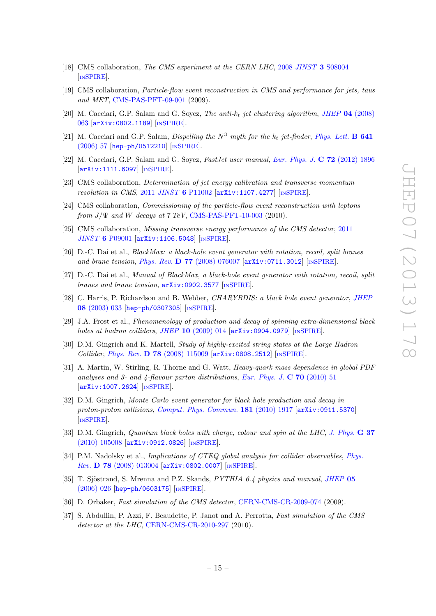- <span id="page-15-0"></span>[18] CMS collaboration, The CMS experiment at the CERN LHC, 2008 JINST 3 [S08004](http://dx.doi.org/10.1088/1748-0221/3/08/S08004) [IN[SPIRE](http://inspirehep.net/search?p=find+J+JINST,3,S08004)].
- <span id="page-15-1"></span>[19] CMS collaboration, Particle-flow event reconstruction in CMS and performance for jets, taus and MET, [CMS-PAS-PFT-09-001](http://cds.cern.ch/record/1194487) (2009).
- <span id="page-15-2"></span>[20] M. Cacciari, G.P. Salam and G. Soyez, The anti- $k_t$  jet clustering algorithm, JHEP 04 [\(2008\)](http://dx.doi.org/10.1088/1126-6708/2008/04/063) [063](http://dx.doi.org/10.1088/1126-6708/2008/04/063) [[arXiv:0802.1189](http://arxiv.org/abs/0802.1189)] [IN[SPIRE](http://inspirehep.net/search?p=find+EPRINT+arXiv:0802.1189)].
- <span id="page-15-5"></span>[21] M. Cacciari and G.P. Salam, *Dispelling the*  $N^3$  myth for the  $k_t$  jet-finder, *[Phys. Lett.](http://dx.doi.org/10.1016/j.physletb.2006.08.037)* **B 641** [\(2006\) 57](http://dx.doi.org/10.1016/j.physletb.2006.08.037) [[hep-ph/0512210](http://arxiv.org/abs/hep-ph/0512210)] [IN[SPIRE](http://inspirehep.net/search?p=find+EPRINT+hep-ph/0512210)].
- <span id="page-15-3"></span>[22] M. Cacciari, G.P. Salam and G. Soyez, FastJet user manual, [Eur. Phys. J.](http://dx.doi.org/10.1140/epjc/s10052-012-1896-2) C 72 (2012) 1896 [[arXiv:1111.6097](http://arxiv.org/abs/1111.6097)] [IN[SPIRE](http://inspirehep.net/search?p=find+EPRINT+arXiv:1111.6097)].
- <span id="page-15-4"></span>[23] CMS collaboration, Determination of jet energy calibration and transverse momentum resolution in CMS, 2011 JINST 6 [P11002](http://dx.doi.org/10.1088/1748-0221/6/11/P11002) [[arXiv:1107.4277](http://arxiv.org/abs/1107.4277)] [IN[SPIRE](http://inspirehep.net/search?p=find+EPRINT+arXiv:1107.4277)].
- <span id="page-15-6"></span>[24] CMS collaboration, Commissioning of the particle-flow event reconstruction with leptons from  $J/\Psi$  and W decays at 7 TeV, [CMS-PAS-PFT-10-003](http://cds.cern.ch/record/1279347) (2010).
- <span id="page-15-7"></span>[25] CMS collaboration, Missing transverse energy performance of the CMS detector, [2011](http://dx.doi.org/10.1088/1748-0221/6/09/P09001) JINST 6 [P09001](http://dx.doi.org/10.1088/1748-0221/6/09/P09001) [[arXiv:1106.5048](http://arxiv.org/abs/1106.5048)] [IN[SPIRE](http://inspirehep.net/search?p=find+EPRINT+arXiv:1106.5048)].
- <span id="page-15-8"></span>[26] D.-C. Dai et al., BlackMax: a black-hole event generator with rotation, recoil, split branes and brane tension, Phys. Rev. D 77 [\(2008\) 076007](http://dx.doi.org/10.1103/PhysRevD.77.076007)  $\left[$ [arXiv:0711.3012](http://arxiv.org/abs/0711.3012) $\right]$   $\left[$ IN[SPIRE](http://inspirehep.net/search?p=find+EPRINT+arXiv:0711.3012) $\right]$ .
- <span id="page-15-9"></span>[27] D.-C. Dai et al., Manual of BlackMax, a black-hole event generator with rotation, recoil, split branes and brane tension,  $arXiv:0902.3577$  [IN[SPIRE](http://inspirehep.net/search?p=find+EPRINT+arXiv:0902.3577)].
- <span id="page-15-10"></span>[28] C. Harris, P. Richardson and B. Webber, *CHARYBDIS: a black hole event generator*, *[JHEP](http://dx.doi.org/10.1088/1126-6708/2003/08/033)* 08 [\(2003\) 033](http://dx.doi.org/10.1088/1126-6708/2003/08/033) [[hep-ph/0307305](http://arxiv.org/abs/hep-ph/0307305)] [IN[SPIRE](http://inspirehep.net/search?p=find+EPRINT+hep-ph/0307305)].
- <span id="page-15-11"></span>[29] J.A. Frost et al., Phenomenology of production and decay of spinning extra-dimensional black holes at hadron colliders, JHEP  $10$  [\(2009\) 014](http://dx.doi.org/10.1088/1126-6708/2009/10/014)  $\left[$ [arXiv:0904.0979](http://arxiv.org/abs/0904.0979) $\right]$   $\left[$ IN[SPIRE](http://inspirehep.net/search?p=find+EPRINT+arXiv:0904.0979) $\right]$ .
- <span id="page-15-12"></span>[30] D.M. Gingrich and K. Martell, Study of highly-excited string states at the Large Hadron Collider, Phys. Rev. D 78 [\(2008\) 115009](http://dx.doi.org/10.1103/PhysRevD.78.115009) [[arXiv:0808.2512](http://arxiv.org/abs/0808.2512)] [IN[SPIRE](http://inspirehep.net/search?p=find+EPRINT+arXiv:0808.2512)].
- <span id="page-15-13"></span>[31] A. Martin, W. Stirling, R. Thorne and G. Watt, *Heavy-quark mass dependence in global PDF* analyses and 3- and 4-flavour parton distributions, [Eur. Phys. J.](http://dx.doi.org/10.1140/epjc/s10052-010-1462-8)  $\bf{C}$  70 (2010) 51 [[arXiv:1007.2624](http://arxiv.org/abs/1007.2624)] [IN[SPIRE](http://inspirehep.net/search?p=find+EPRINT+arXiv:1007.2624)].
- <span id="page-15-14"></span>[32] D.M. Gingrich, Monte Carlo event generator for black hole production and decay in proton-proton collisions, [Comput. Phys. Commun.](http://dx.doi.org/10.1016/j.cpc.2010.07.027) 181 (2010) 1917 [[arXiv:0911.5370](http://arxiv.org/abs/0911.5370)] [IN[SPIRE](http://inspirehep.net/search?p=find+EPRINT+arXiv:0911.5370)].
- <span id="page-15-15"></span>[33] D.M. Gingrich, Quantum black holes with charge, colour and spin at the LHC, [J. Phys.](http://dx.doi.org/10.1088/0954-3899/37/10/105008) **G 37**  $(2010)$  105008  $\text{arXiv:}0912.0826$  [IN[SPIRE](http://inspirehep.net/search?p=find+EPRINT+arXiv:0912.0826)].
- <span id="page-15-16"></span>[34] P.M. Nadolsky et al., *Implications of CTEQ global analysis for collider observables, [Phys.](http://dx.doi.org/10.1103/PhysRevD.78.013004)* Rev. D 78 [\(2008\) 013004](http://dx.doi.org/10.1103/PhysRevD.78.013004) [[arXiv:0802.0007](http://arxiv.org/abs/0802.0007)] [IN[SPIRE](http://inspirehep.net/search?p=find+EPRINT+arXiv:0802.0007)].
- <span id="page-15-17"></span>[35] T. Sjöstrand, S. Mrenna and P.Z. Skands, PYTHIA 6.4 physics and manual, [JHEP](http://dx.doi.org/10.1088/1126-6708/2006/05/026) 05 [\(2006\) 026](http://dx.doi.org/10.1088/1126-6708/2006/05/026) [[hep-ph/0603175](http://arxiv.org/abs/hep-ph/0603175)] [IN[SPIRE](http://inspirehep.net/search?p=find+EPRINT+hep-ph/0603175)].
- <span id="page-15-18"></span>[36] D. Orbaker, Fast simulation of the CMS detector, [CERN-CMS-CR-2009-074](http://cds.cern.ch/record/1196161) (2009).
- <span id="page-15-19"></span>[37] S. Abdullin, P. Azzi, F. Beaudette, P. Janot and A. Perrotta, Fast simulation of the CMS detector at the LHC, [CERN-CMS-CR-2010-297](http://cds.cern.ch/record/1328345) (2010).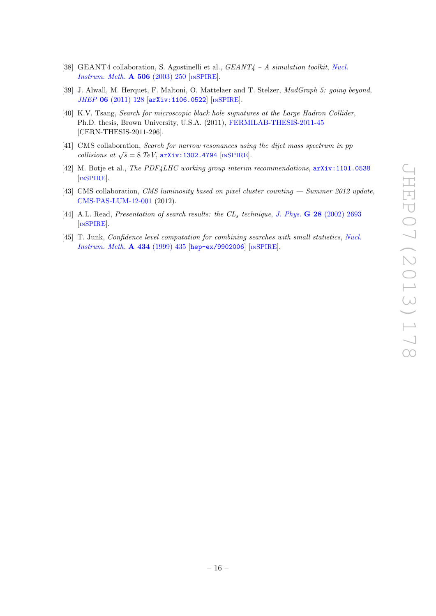- <span id="page-16-0"></span>[38] GEANT4 collaboration, S. Agostinelli et al.,  $GEANT4 - A simulation toolkit$ , [Nucl.](http://dx.doi.org/10.1016/S0168-9002(03)01368-8) [Instrum. Meth.](http://dx.doi.org/10.1016/S0168-9002(03)01368-8) A 506 (2003) 250 [IN[SPIRE](http://inspirehep.net/search?p=find+J+Nucl.Instrum.Meth.,A506,250)].
- <span id="page-16-1"></span>[39] J. Alwall, M. Herquet, F. Maltoni, O. Mattelaer and T. Stelzer, MadGraph 5: going beyond, JHEP 06 [\(2011\) 128](http://dx.doi.org/10.1007/JHEP06(2011)128) [[arXiv:1106.0522](http://arxiv.org/abs/1106.0522)] [IN[SPIRE](http://inspirehep.net/search?p=find+EPRINT+arXiv:1106.0522)].
- <span id="page-16-2"></span>[40] K.V. Tsang, Search for microscopic black hole signatures at the Large Hadron Collider, Ph.D. thesis, Brown University, U.S.A. (2011), [FERMILAB-THESIS-2011-45](http://cds.cern.ch/record/1514016) [CERN-THESIS-2011-296].
- <span id="page-16-3"></span>[41] CMS collaboration, Search for narrow resonances using the dijet mass spectrum in pp collisions at  $\sqrt{s} = 8 \text{ TeV}$ ,  $\arxiv:1302.4794$  [IN[SPIRE](http://inspirehep.net/search?p=find+EPRINT+arXiv:1302.4794)].
- <span id="page-16-4"></span>[42] M. Botje et al., The PDF4LHC working group interim recommendations,  $arXiv:1101.0538$ [IN[SPIRE](http://inspirehep.net/search?p=find+EPRINT+arXiv:1101.0538)].
- <span id="page-16-5"></span>[43] CMS collaboration, *CMS luminosity based on pixel cluster counting — Summer 2012 update*, [CMS-PAS-LUM-12-001](http://cds.cern.ch/record/1482193) (2012).
- <span id="page-16-6"></span>[44] A.L. Read, Presentation of search results: the CL<sub>s</sub> technique, J. Phys. **G 28** [\(2002\) 2693](http://dx.doi.org/10.1088/0954-3899/28/10/313) [IN[SPIRE](http://inspirehep.net/search?p=find+J+J.Phys.,G28,2693)].
- <span id="page-16-7"></span>[45] T. Junk, Confidence level computation for combining searches with small statistics, [Nucl.](http://dx.doi.org/10.1016/S0168-9002(99)00498-2) [Instrum. Meth.](http://dx.doi.org/10.1016/S0168-9002(99)00498-2) A 434 (1999) 435 [[hep-ex/9902006](http://arxiv.org/abs/hep-ex/9902006)] [IN[SPIRE](http://inspirehep.net/search?p=find+EPRINT+hep-ex/9902006)].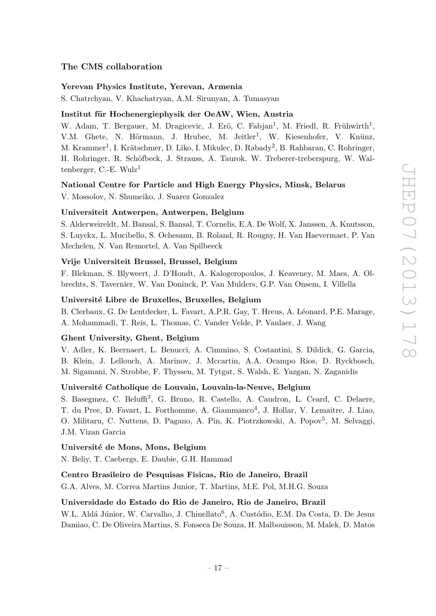## The CMS collaboration

#### <span id="page-17-0"></span>Yerevan Physics Institute, Yerevan, Armenia

S. Chatrchyan, V. Khachatryan, A.M. Sirunyan, A. Tumasyan

#### Institut für Hochenergiephysik der OeAW, Wien, Austria

W. Adam, T. Bergauer, M. Dragicevic, J. Erö, C. Fabjan<sup>1</sup>, M. Friedl, R. Frühwirth<sup>1</sup>, V.M. Ghete, N. Hörmann, J. Hrubec, M. Jeitler<sup>1</sup>, W. Kiesenhofer, V. Knünz, M. Krammer<sup>1</sup>, I. Krätschmer, D. Liko, I. Mikulec, D. Rabady<sup>2</sup>, B. Rahbaran, C. Rohringer, H. Rohringer, R. Schöfbeck, J. Strauss, A. Taurok, W. Treberer-treberspurg, W. Waltenberger, C.-E. Wulz<sup>1</sup>

#### National Centre for Particle and High Energy Physics, Minsk, Belarus

V. Mossolov, N. Shumeiko, J. Suarez Gonzalez

## Universiteit Antwerpen, Antwerpen, Belgium

S. Alderweireldt, M. Bansal, S. Bansal, T. Cornelis, E.A. De Wolf, X. Janssen, A. Knutsson, S. Luyckx, L. Mucibello, S. Ochesanu, B. Roland, R. Rougny, H. Van Haevermaet, P. Van Mechelen, N. Van Remortel, A. Van Spilbeeck

#### Vrije Universiteit Brussel, Brussel, Belgium

F. Blekman, S. Blyweert, J. D'Hondt, A. Kalogeropoulos, J. Keaveney, M. Maes, A. Olbrechts, S. Tavernier, W. Van Doninck, P. Van Mulders, G.P. Van Onsem, I. Villella

## Université Libre de Bruxelles, Bruxelles, Belgium

B. Clerbaux, G. De Lentdecker, L. Favart, A.P.R. Gay, T. Hreus, A. Léonard, P.E. Marage, A. Mohammadi, T. Reis, L. Thomas, C. Vander Velde, P. Vanlaer, J. Wang

### Ghent University, Ghent, Belgium

V. Adler, K. Beernaert, L. Benucci, A. Cimmino, S. Costantini, S. Dildick, G. Garcia, B. Klein, J. Lellouch, A. Marinov, J. Mccartin, A.A. Ocampo Rios, D. Ryckbosch, M. Sigamani, N. Strobbe, F. Thyssen, M. Tytgat, S. Walsh, E. Yazgan, N. Zaganidis

### Université Catholique de Louvain, Louvain-la-Neuve, Belgium

S. Basegmez, C. Beluffi<sup>3</sup>, G. Bruno, R. Castello, A. Caudron, L. Ceard, C. Delaere, T. du Pree, D. Favart, L. Forthomme, A. Giammanco<sup>4</sup>, J. Hollar, V. Lemaitre, J. Liao, O. Militaru, C. Nuttens, D. Pagano, A. Pin, K. Piotrzkowski, A. Popov<sup>5</sup>, M. Selvaggi, J.M. Vizan Garcia

## Université de Mons, Mons, Belgium

N. Beliy, T. Caebergs, E. Daubie, G.H. Hammad

#### Centro Brasileiro de Pesquisas Fisicas, Rio de Janeiro, Brazil

G.A. Alves, M. Correa Martins Junior, T. Martins, M.E. Pol, M.H.G. Souza

#### Universidade do Estado do Rio de Janeiro, Rio de Janeiro, Brazil

W.L. Aldá Júnior, W. Carvalho, J. Chinellato<sup>6</sup>, A. Custódio, E.M. Da Costa, D. De Jesus Damiao, C. De Oliveira Martins, S. Fonseca De Souza, H. Malbouisson, M. Malek, D. Matos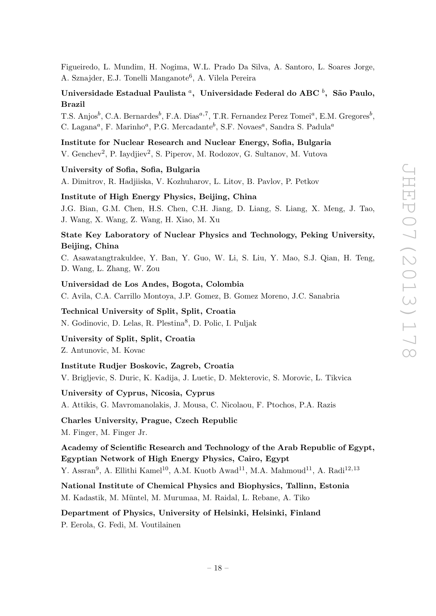Figueiredo, L. Mundim, H. Nogima, W.L. Prado Da Silva, A. Santoro, L. Soares Jorge, A. Sznajder, E.J. Tonelli Manganote<sup>6</sup>, A. Vilela Pereira

## Universidade Estadual Paulista  $^a,\,$  Universidade Federal do ABC  $^b,\,$  São Paulo, Brazil

T.S. Anjos<sup>b</sup>, C.A. Bernardes<sup>b</sup>, F.A. Dias<sup>a, 7</sup>, T.R. Fernandez Perez Tomei<sup>a</sup>, E.M. Gregores<sup>b</sup>, C. Lagana<sup>a</sup>, F. Marinho<sup>a</sup>, P.G. Mercadante<sup>b</sup>, S.F. Novaes<sup>a</sup>, Sandra S. Padula<sup>a</sup>

## Institute for Nuclear Research and Nuclear Energy, Sofia, Bulgaria

V. Genchev<sup>2</sup>, P. Iaydjiev<sup>2</sup>, S. Piperov, M. Rodozov, G. Sultanov, M. Vutova

#### University of Sofia, Sofia, Bulgaria

A. Dimitrov, R. Hadjiiska, V. Kozhuharov, L. Litov, B. Pavlov, P. Petkov

## Institute of High Energy Physics, Beijing, China

J.G. Bian, G.M. Chen, H.S. Chen, C.H. Jiang, D. Liang, S. Liang, X. Meng, J. Tao, J. Wang, X. Wang, Z. Wang, H. Xiao, M. Xu

## State Key Laboratory of Nuclear Physics and Technology, Peking University, Beijing, China

C. Asawatangtrakuldee, Y. Ban, Y. Guo, W. Li, S. Liu, Y. Mao, S.J. Qian, H. Teng, D. Wang, L. Zhang, W. Zou

## Universidad de Los Andes, Bogota, Colombia

C. Avila, C.A. Carrillo Montoya, J.P. Gomez, B. Gomez Moreno, J.C. Sanabria

### Technical University of Split, Split, Croatia

N. Godinovic, D. Lelas, R. Plestina<sup>8</sup>, D. Polic, I. Puljak

#### University of Split, Split, Croatia

Z. Antunovic, M. Kovac

### Institute Rudjer Boskovic, Zagreb, Croatia

V. Brigljevic, S. Duric, K. Kadija, J. Luetic, D. Mekterovic, S. Morovic, L. Tikvica

#### University of Cyprus, Nicosia, Cyprus

A. Attikis, G. Mavromanolakis, J. Mousa, C. Nicolaou, F. Ptochos, P.A. Razis

#### Charles University, Prague, Czech Republic

M. Finger, M. Finger Jr.

## Academy of Scientific Research and Technology of the Arab Republic of Egypt, Egyptian Network of High Energy Physics, Cairo, Egypt

Y. Assran<sup>9</sup>, A. Ellithi Kamel<sup>10</sup>, A.M. Kuotb Awad<sup>11</sup>, M.A. Mahmoud<sup>11</sup>, A. Radi<sup>12,13</sup>

## National Institute of Chemical Physics and Biophysics, Tallinn, Estonia M. Kadastik, M. Müntel, M. Murumaa, M. Raidal, L. Rebane, A. Tiko

## Department of Physics, University of Helsinki, Helsinki, Finland

P. Eerola, G. Fedi, M. Voutilainen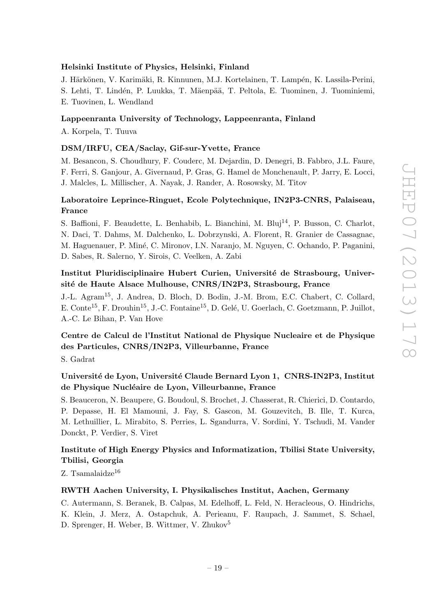## Helsinki Institute of Physics, Helsinki, Finland

J. Härkönen, V. Karimäki, R. Kinnunen, M.J. Kortelainen, T. Lampén, K. Lassila-Perini, S. Lehti, T. Lindén, P. Luukka, T. Mäenpää, T. Peltola, E. Tuominen, J. Tuominiemi, E. Tuovinen, L. Wendland

### Lappeenranta University of Technology, Lappeenranta, Finland

A. Korpela, T. Tuuva

## DSM/IRFU, CEA/Saclay, Gif-sur-Yvette, France

M. Besancon, S. Choudhury, F. Couderc, M. Dejardin, D. Denegri, B. Fabbro, J.L. Faure, F. Ferri, S. Ganjour, A. Givernaud, P. Gras, G. Hamel de Monchenault, P. Jarry, E. Locci, J. Malcles, L. Millischer, A. Nayak, J. Rander, A. Rosowsky, M. Titov

## Laboratoire Leprince-Ringuet, Ecole Polytechnique, IN2P3-CNRS, Palaiseau, France

S. Baffioni, F. Beaudette, L. Benhabib, L. Bianchini, M. Bluj<sup>14</sup>, P. Busson, C. Charlot, N. Daci, T. Dahms, M. Dalchenko, L. Dobrzynski, A. Florent, R. Granier de Cassagnac, M. Haguenauer, P. Min´e, C. Mironov, I.N. Naranjo, M. Nguyen, C. Ochando, P. Paganini, D. Sabes, R. Salerno, Y. Sirois, C. Veelken, A. Zabi

## Institut Pluridisciplinaire Hubert Curien, Université de Strasbourg, Université de Haute Alsace Mulhouse, CNRS/IN2P3, Strasbourg, France

J.-L. Agram15, J. Andrea, D. Bloch, D. Bodin, J.-M. Brom, E.C. Chabert, C. Collard, E. Conte<sup>15</sup>, F. Drouhin<sup>15</sup>, J.-C. Fontaine<sup>15</sup>, D. Gelé, U. Goerlach, C. Goetzmann, P. Juillot, A.-C. Le Bihan, P. Van Hove

## Centre de Calcul de l'Institut National de Physique Nucleaire et de Physique des Particules, CNRS/IN2P3, Villeurbanne, France

S. Gadrat

## Université de Lyon, Université Claude Bernard Lyon 1, CNRS-IN2P3, Institut de Physique Nucléaire de Lyon, Villeurbanne, France

S. Beauceron, N. Beaupere, G. Boudoul, S. Brochet, J. Chasserat, R. Chierici, D. Contardo, P. Depasse, H. El Mamouni, J. Fay, S. Gascon, M. Gouzevitch, B. Ille, T. Kurca, M. Lethuillier, L. Mirabito, S. Perries, L. Sgandurra, V. Sordini, Y. Tschudi, M. Vander Donckt, P. Verdier, S. Viret

## Institute of High Energy Physics and Informatization, Tbilisi State University, Tbilisi, Georgia

Z. Tsamalaidze<sup>16</sup>

### RWTH Aachen University, I. Physikalisches Institut, Aachen, Germany

C. Autermann, S. Beranek, B. Calpas, M. Edelhoff, L. Feld, N. Heracleous, O. Hindrichs, K. Klein, J. Merz, A. Ostapchuk, A. Perieanu, F. Raupach, J. Sammet, S. Schael, D. Sprenger, H. Weber, B. Wittmer, V. Zhukov<sup>5</sup>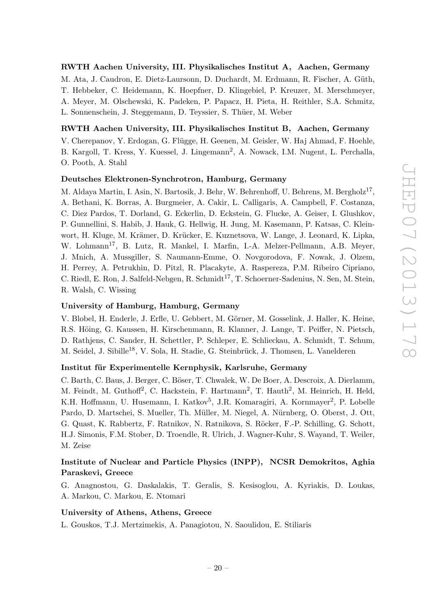## RWTH Aachen University, III. Physikalisches Institut A, Aachen, Germany

M. Ata, J. Caudron, E. Dietz-Laursonn, D. Duchardt, M. Erdmann, R. Fischer, A. Güth, T. Hebbeker, C. Heidemann, K. Hoepfner, D. Klingebiel, P. Kreuzer, M. Merschmeyer, A. Meyer, M. Olschewski, K. Padeken, P. Papacz, H. Pieta, H. Reithler, S.A. Schmitz, L. Sonnenschein, J. Steggemann, D. Teyssier, S. Thüer, M. Weber

#### RWTH Aachen University, III. Physikalisches Institut B, Aachen, Germany

V. Cherepanov, Y. Erdogan, G. Flügge, H. Geenen, M. Geisler, W. Haj Ahmad, F. Hoehle, B. Kargoll, T. Kress, Y. Kuessel, J. Lingemann<sup>2</sup>, A. Nowack, I.M. Nugent, L. Perchalla, O. Pooth, A. Stahl

## Deutsches Elektronen-Synchrotron, Hamburg, Germany

M. Aldaya Martin, I. Asin, N. Bartosik, J. Behr, W. Behrenhoff, U. Behrens, M. Bergholz<sup>17</sup>, A. Bethani, K. Borras, A. Burgmeier, A. Cakir, L. Calligaris, A. Campbell, F. Costanza, C. Diez Pardos, T. Dorland, G. Eckerlin, D. Eckstein, G. Flucke, A. Geiser, I. Glushkov, P. Gunnellini, S. Habib, J. Hauk, G. Hellwig, H. Jung, M. Kasemann, P. Katsas, C. Kleinwort, H. Kluge, M. Krämer, D. Krücker, E. Kuznetsova, W. Lange, J. Leonard, K. Lipka, W. Lohmann17, B. Lutz, R. Mankel, I. Marfin, I.-A. Melzer-Pellmann, A.B. Meyer, J. Mnich, A. Mussgiller, S. Naumann-Emme, O. Novgorodova, F. Nowak, J. Olzem, H. Perrey, A. Petrukhin, D. Pitzl, R. Placakyte, A. Raspereza, P.M. Ribeiro Cipriano, C. Riedl, E. Ron, J. Salfeld-Nebgen, R. Schmidt<sup>17</sup>, T. Schoerner-Sadenius, N. Sen, M. Stein, R. Walsh, C. Wissing

#### University of Hamburg, Hamburg, Germany

V. Blobel, H. Enderle, J. Erfle, U. Gebbert, M. Görner, M. Gosselink, J. Haller, K. Heine, R.S. Höing, G. Kaussen, H. Kirschenmann, R. Klanner, J. Lange, T. Peiffer, N. Pietsch, D. Rathjens, C. Sander, H. Schettler, P. Schleper, E. Schlieckau, A. Schmidt, T. Schum, M. Seidel, J. Sibille<sup>18</sup>, V. Sola, H. Stadie, G. Steinbrück, J. Thomsen, L. Vanelderen

#### Institut für Experimentelle Kernphysik, Karlsruhe, Germany

C. Barth, C. Baus, J. Berger, C. Böser, T. Chwalek, W. De Boer, A. Descroix, A. Dierlamm, M. Feindt, M. Guthoff<sup>2</sup>, C. Hackstein, F. Hartmann<sup>2</sup>, T. Hauth<sup>2</sup>, M. Heinrich, H. Held, K.H. Hoffmann, U. Husemann, I. Katkov<sup>5</sup>, J.R. Komaragiri, A. Kornmayer<sup>2</sup>, P. Lobelle Pardo, D. Martschei, S. Mueller, Th. Müller, M. Niegel, A. Nürnberg, O. Oberst, J. Ott, G. Quast, K. Rabbertz, F. Ratnikov, N. Ratnikova, S. Röcker, F.-P. Schilling, G. Schott, H.J. Simonis, F.M. Stober, D. Troendle, R. Ulrich, J. Wagner-Kuhr, S. Wayand, T. Weiler, M. Zeise

## Institute of Nuclear and Particle Physics (INPP), NCSR Demokritos, Aghia Paraskevi, Greece

G. Anagnostou, G. Daskalakis, T. Geralis, S. Kesisoglou, A. Kyriakis, D. Loukas, A. Markou, C. Markou, E. Ntomari

#### University of Athens, Athens, Greece

L. Gouskos, T.J. Mertzimekis, A. Panagiotou, N. Saoulidou, E. Stiliaris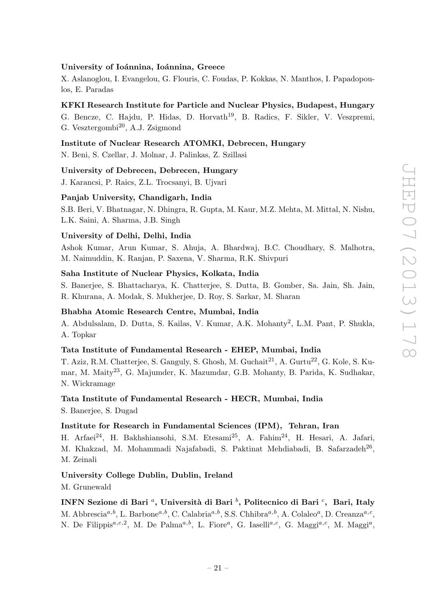### University of Ioánnina, Ioánnina, Greece

X. Aslanoglou, I. Evangelou, G. Flouris, C. Foudas, P. Kokkas, N. Manthos, I. Papadopoulos, E. Paradas

#### KFKI Research Institute for Particle and Nuclear Physics, Budapest, Hungary

G. Bencze, C. Hajdu, P. Hidas, D. Horvath<sup>19</sup>, B. Radics, F. Sikler, V. Veszpremi, G. Vesztergombi<sup>20</sup>, A.J. Zsigmond

## Institute of Nuclear Research ATOMKI, Debrecen, Hungary

N. Beni, S. Czellar, J. Molnar, J. Palinkas, Z. Szillasi

#### University of Debrecen, Debrecen, Hungary

J. Karancsi, P. Raics, Z.L. Trocsanyi, B. Ujvari

### Panjab University, Chandigarh, India

S.B. Beri, V. Bhatnagar, N. Dhingra, R. Gupta, M. Kaur, M.Z. Mehta, M. Mittal, N. Nishu, L.K. Saini, A. Sharma, J.B. Singh

### University of Delhi, Delhi, India

Ashok Kumar, Arun Kumar, S. Ahuja, A. Bhardwaj, B.C. Choudhary, S. Malhotra, M. Naimuddin, K. Ranjan, P. Saxena, V. Sharma, R.K. Shivpuri

#### Saha Institute of Nuclear Physics, Kolkata, India

S. Banerjee, S. Bhattacharya, K. Chatterjee, S. Dutta, B. Gomber, Sa. Jain, Sh. Jain, R. Khurana, A. Modak, S. Mukherjee, D. Roy, S. Sarkar, M. Sharan

#### Bhabha Atomic Research Centre, Mumbai, India

A. Abdulsalam, D. Dutta, S. Kailas, V. Kumar, A.K. Mohanty<sup>2</sup>, L.M. Pant, P. Shukla, A. Topkar

## Tata Institute of Fundamental Research - EHEP, Mumbai, India

T. Aziz, R.M. Chatterjee, S. Ganguly, S. Ghosh, M. Guchait<sup>21</sup>, A. Gurtu<sup>22</sup>, G. Kole, S. Kumar, M. Maity<sup>23</sup>, G. Majumder, K. Mazumdar, G.B. Mohanty, B. Parida, K. Sudhakar, N. Wickramage

## Tata Institute of Fundamental Research - HECR, Mumbai, India

S. Banerjee, S. Dugad

#### Institute for Research in Fundamental Sciences (IPM), Tehran, Iran

H. Arfaei24, H. Bakhshiansohi, S.M. Etesami25, A. Fahim24, H. Hesari, A. Jafari, M. Khakzad, M. Mohammadi Najafabadi, S. Paktinat Mehdiabadi, B. Safarzadeh<sup>26</sup>, M. Zeinali

#### University College Dublin, Dublin, Ireland

M. Grunewald

INFN Sezione di Bari <sup>a</sup>, Università di Bari  $^b$ , Politecnico di Bari  $^c$ , Bari, Italy M. Abbrescia<sup>a,b</sup>, L. Barbone<sup>a,b</sup>, C. Calabria<sup>a,b</sup>, S.S. Chhibra<sup>a,b</sup>, A. Colaleo<sup>a</sup>, D. Creanza<sup>a,c</sup>, N. De Filippis<sup>a,c,2</sup>, M. De Palma<sup>a,b</sup>, L. Fiore<sup>a</sup>, G. Iaselli<sup>a,c</sup>, G. Maggi<sup>a,c</sup>, M. Maggi<sup>a</sup>,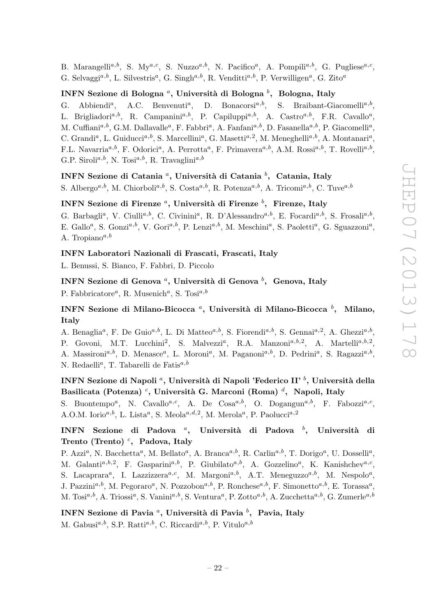B. Marangelli<sup>a,b</sup>, S. My<sup>a,c</sup>, S. Nuzzo<sup>a,b</sup>, N. Pacifico<sup>a</sup>, A. Pompili<sup>a,b</sup>, G. Pugliese<sup>a,c</sup>, G. Selvaggi<sup>a,b</sup>, L. Silvestris<sup>a</sup>, G. Singh<sup>a,b</sup>, R. Venditti<sup>a,b</sup>, P. Verwilligen<sup>a</sup>, G. Zito<sup>a</sup>

## INFN Sezione di Bologna <sup>a</sup>, Università di Bologna  $^b$ , Bologna, Italy

G. Abbiendi<sup>a</sup>, A.C. Benvenuti<sup>a</sup>, D. Bonacorsi<sup>a,b</sup>, S. Braibant-Giacomelli<sup>a,b</sup>, L. Brigliadori<sup>a,b</sup>, R. Campanini<sup>a,b</sup>, P. Capiluppi<sup>a,b</sup>, A. Castro<sup>a,b</sup>, F.R. Cavallo<sup>a</sup>, M. Cuffiani<sup>a,b</sup>, G.M. Dallavalle<sup>a</sup>, F. Fabbri<sup>a</sup>, A. Fanfani<sup>a,b</sup>, D. Fasanella<sup>a,b</sup>, P. Giacomelli<sup>a</sup>, C. Grandi<sup>a</sup>, L. Guiducci<sup>a,b</sup>, S. Marcellini<sup>a</sup>, G. Masetti<sup>a,2</sup>, M. Meneghelli<sup>a,b</sup>, A. Montanari<sup>a</sup>, F.L. Navarria<sup>*a*,b</sup>, F. Odorici<sup>a</sup>, A. Perrotta<sup>*a*</sup>, F. Primavera<sup>*a*,b</sup>, A.M. Rossi<sup>*a*,b</sup>, T. Rovelli<sup>*a*,b</sup>, G.P. Siroli<sup>a,b</sup>, N. Tosi<sup>a,b</sup>, R. Travaglini<sup>a,b</sup>

## INFN Sezione di Catania <sup>a</sup>, Università di Catania  $^b$ , Catania, Italy

S. Albergo<sup>a,b</sup>, M. Chiorboli<sup>a,b</sup>, S. Costa<sup>a,b</sup>, R. Potenza<sup>a,b</sup>, A. Tricomi<sup>a,b</sup>, C. Tuve<sup>a,b</sup>

## INFN Sezione di Firenze  $^a,$  Università di Firenze  $^b, \,$  Firenze, Italy

G. Barbagli<sup>a</sup>, V. Ciulli<sup>a,b</sup>, C. Civinini<sup>a</sup>, R. D'Alessandro<sup>a,b</sup>, E. Focardi<sup>a,b</sup>, S. Frosali<sup>a,b</sup>, E. Gallo<sup>a</sup>, S. Gonzi<sup>a,b</sup>, V. Gori<sup>a,b</sup>, P. Lenzi<sup>a,b</sup>, M. Meschini<sup>a</sup>, S. Paoletti<sup>a</sup>, G. Sguazzoni<sup>a</sup>, A. Tropiano $a,b$ 

### INFN Laboratori Nazionali di Frascati, Frascati, Italy

L. Benussi, S. Bianco, F. Fabbri, D. Piccolo

## INFN Sezione di Genova  $^a,$  Università di Genova  $^b, \,$  Genova, Italy

P. Fabbricatore<sup>a</sup>, R. Musenich<sup>a</sup>, S. Tosi<sup>a,b</sup>

## INFN Sezione di Milano-Bicocca <sup>a</sup>, Università di Milano-Bicocca <sup>b</sup>, Milano, Italy

A. Benaglia<sup>a</sup>, F. De Guio<sup>a,b</sup>, L. Di Matteo<sup>a,b</sup>, S. Fiorendi<sup>a,b</sup>, S. Gennai<sup>a,2</sup>, A. Ghezzi<sup>a,b</sup>, P. Govoni, M.T. Lucchini<sup>2</sup>, S. Malvezzi<sup>a</sup>, R.A. Manzoni<sup>a,b,2</sup>, A. Martelli<sup>a,b,2</sup>, A. Massironi<sup>a,b</sup>, D. Menasce<sup>a</sup>, L. Moroni<sup>a</sup>, M. Paganoni<sup>a,b</sup>, D. Pedrini<sup>a</sup>, S. Ragazzi<sup>a,b</sup>, N. Redaelli<sup>a</sup>, T. Tabarelli de Fatis<sup>a,b</sup>

## INFN Sezione di Napoli <sup>a</sup>, Università di Napoli 'Federico II'  $^b,$  Università della Basilicata (Potenza)  $^c$ , Università G. Marconi (Roma)  $^d$ , Napoli, Italy

S. Buontempo<sup>a</sup>, N. Cavallo<sup>a,c</sup>, A. De Cosa<sup>a,b</sup>, O. Dogangun<sup>a,b</sup>, F. Fabozzi<sup>a,c</sup>, A.O.M. Iorio<sup>a,b</sup>, L. Lista<sup>a</sup>, S. Meola<sup>a,d,2</sup>, M. Merola<sup>a</sup>, P. Paolucci<sup>a,2</sup>

## INFN Sezione di Padova <sup>a</sup>, Università di Padova <sup>b</sup>, Università di  **(Trento)<sup>c</sup>, Padova, Italy**

P. Azzi<sup>a</sup>, N. Bacchetta<sup>a</sup>, M. Bellato<sup>a</sup>, A. Branca<sup>a,b</sup>, R. Carlin<sup>a,b</sup>, T. Dorigo<sup>a</sup>, U. Dosselli<sup>a</sup>, M. Galanti<sup>a,b,2</sup>, F. Gasparini<sup>a,b</sup>, P. Giubilato<sup>a,b</sup>, A. Gozzelino<sup>a</sup>, K. Kanishchev<sup>a,c</sup>, S. Lacaprara<sup>a</sup>, I. Lazzizzera<sup>a,c</sup>, M. Margoni<sup>a,b</sup>, A.T. Meneguzzo<sup>a,b</sup>, M. Nespolo<sup>a</sup>, J. Pazzini<sup>a,b</sup>, M. Pegoraro<sup>a</sup>, N. Pozzobon<sup>a,b</sup>, P. Ronchese<sup>a,b</sup>, F. Simonetto<sup>a,b</sup>, E. Torassa<sup>a</sup>, M. Tosi $^{a,b}$ , A. Triossi $^a$ , S. Vanini $^{a,b}$ , S. Ventura $^a$ , P. Zotto $^{a,b}$ , A. Zucchetta $^{a,b}$ , G. Zumerle $^{a,b}$ 

## INFN Sezione di Pavia  $^a,$  Università di Pavia  $^b, \, \,$  Pavia, Italy

M. Gabusi<sup>a,b</sup>, S.P. Ratti<sup>a,b</sup>, C. Riccardi<sup>a,b</sup>, P. Vitulo<sup>a,b</sup>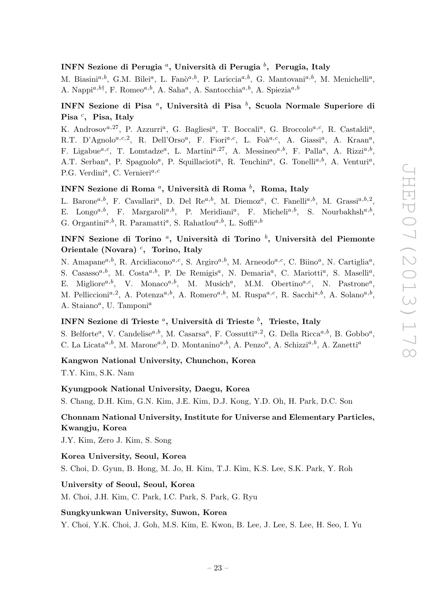## INFN Sezione di Perugia  $^a,$  Università di Perugia  $^b, \,$  Perugia, Italy

M. Biasini<sup>a,b</sup>, G.M. Bilei<sup>a</sup>, L. Fanò<sup>a,b</sup>, P. Lariccia<sup>a,b</sup>, G. Mantovani<sup>a,b</sup>, M. Menichelli<sup>a</sup>, A. Nappi<sup>a,b†</sup>, F. Romeo<sup>a,b</sup>, A. Saha<sup>a</sup>, A. Santocchia<sup>a,b</sup>, A. Spiezia<sup>a,b</sup>

## INFN Sezione di Pisa <sup>a</sup>, Università di Pisa <sup>b</sup>, Scuola Normale Superiore di Pisa<sup>c</sup>, Pisa, Italy

K. Androsov<sup>a, 27</sup>, P. Azzurri<sup>a</sup>, G. Bagliesi<sup>a</sup>, T. Boccali<sup>a</sup>, G. Broccolo<sup>a, c</sup>, R. Castaldi<sup>a</sup>, R.T. D'Agnolo<sup>a,c,2</sup>, R. Dell'Orso<sup>a</sup>, F. Fiori<sup>a,c</sup>, L. Foà<sup>a,c</sup>, A. Giassi<sup>a</sup>, A. Kraan<sup>a</sup>, F. Ligabue<sup>a,c</sup>, T. Lomtadze<sup>a</sup>, L. Martini<sup>a, 27</sup>, A. Messineo<sup>a,b</sup>, F. Palla<sup>a</sup>, A. Rizzi<sup>a,b</sup>, A.T. Serban<sup>a</sup>, P. Spagnolo<sup>a</sup>, P. Squillacioti<sup>a</sup>, R. Tenchini<sup>a</sup>, G. Tonelli<sup>a,b</sup>, A. Venturi<sup>a</sup>, P.G. Verdini<sup>a</sup>, C. Vernieri<sup>a,c</sup>

## INFN Sezione di Roma  $^a,$  Università di Roma  $^b, \, \,$  Roma, Italy

L. Barone<sup>a,b</sup>, F. Cavallari<sup>a</sup>, D. Del Re<sup>a,b</sup>, M. Diemoz<sup>a</sup>, C. Fanelli<sup>a,b</sup>, M. Grassi<sup>a,b,2</sup>, E. Longo<sup>a,b</sup>, F. Margaroli<sup>a,b</sup>, P. Meridiani<sup>a</sup>, F. Micheli<sup>a,b</sup>, S. Nourbakhsh<sup>a,b</sup>, G. Organtini<sup>a,b</sup>, R. Paramatti<sup>a</sup>, S. Rahatlou<sup>a,b</sup>, L. Soffi<sup>a,b</sup>

## INFN Sezione di Torino <sup>a</sup>, Università di Torino <sup>b</sup>, Università del Piemonte Orientale (Novara)<sup>c</sup>, Torino, Italy

N. Amapane<sup>a,b</sup>, R. Arcidiacono<sup>a,c</sup>, S. Argiro<sup>a,b</sup>, M. Arneodo<sup>a,c</sup>, C. Biino<sup>a</sup>, N. Cartiglia<sup>a</sup>, S. Casasso<sup>a,b</sup>, M. Costa<sup>a,b</sup>, P. De Remigis<sup>a</sup>, N. Demaria<sup>a</sup>, C. Mariotti<sup>a</sup>, S. Maselli<sup>a</sup>, E. Migliore<sup>a,b</sup>, V. Monaco<sup>a,b</sup>, M. Musich<sup>a</sup>, M.M. Obertino<sup>a,c</sup>, N. Pastrone<sup>a</sup>, M. Pelliccioni<sup>a, 2</sup>, A. Potenza<sup>a, b</sup>, A. Romero<sup>a, b</sup>, M. Ruspa<sup>a, c</sup>, R. Sacchi<sup>a, b</sup>, A. Solano<sup>a, b</sup>, A. Staiano<sup>a</sup>, U. Tamponi<sup>a</sup>

## INFN Sezione di Trieste <sup>a</sup>, Università di Trieste  $^b$ , Trieste, Italy

S. Belforte<sup>a</sup>, V. Candelise<sup>a,b</sup>, M. Casarsa<sup>a</sup>, F. Cossutti<sup>a,2</sup>, G. Della Ricca<sup>a,b</sup>, B. Gobbo<sup>a</sup>, C. La Licata<sup>*a*,b</sup>, M. Marone<sup>*a*,b</sup>, D. Montanino<sup>*a*,b</sup>, A. Penzo<sup>*a*</sup>, A. Schizzi<sup>*a*,b</sup>, A. Zanetti<sup>*a*</sup>

## Kangwon National University, Chunchon, Korea

T.Y. Kim, S.K. Nam

## Kyungpook National University, Daegu, Korea

S. Chang, D.H. Kim, G.N. Kim, J.E. Kim, D.J. Kong, Y.D. Oh, H. Park, D.C. Son

## Chonnam National University, Institute for Universe and Elementary Particles, Kwangju, Korea

J.Y. Kim, Zero J. Kim, S. Song

Korea University, Seoul, Korea S. Choi, D. Gyun, B. Hong, M. Jo, H. Kim, T.J. Kim, K.S. Lee, S.K. Park, Y. Roh

## University of Seoul, Seoul, Korea

M. Choi, J.H. Kim, C. Park, I.C. Park, S. Park, G. Ryu

### Sungkyunkwan University, Suwon, Korea

Y. Choi, Y.K. Choi, J. Goh, M.S. Kim, E. Kwon, B. Lee, J. Lee, S. Lee, H. Seo, I. Yu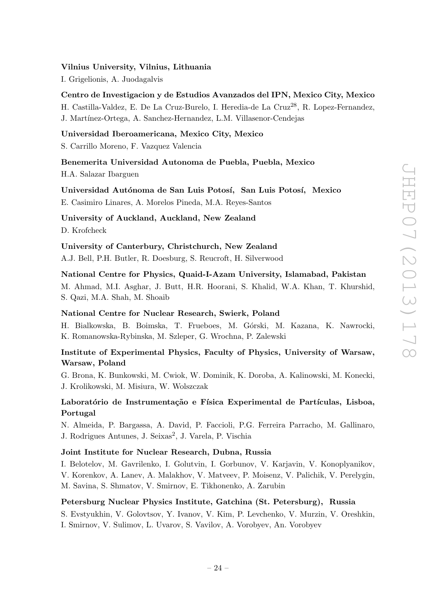#### Vilnius University, Vilnius, Lithuania

I. Grigelionis, A. Juodagalvis

### Centro de Investigacion y de Estudios Avanzados del IPN, Mexico City, Mexico

H. Castilla-Valdez, E. De La Cruz-Burelo, I. Heredia-de La Cruz<sup>28</sup>, R. Lopez-Fernandez, J. Mart´ınez-Ortega, A. Sanchez-Hernandez, L.M. Villasenor-Cendejas

### Universidad Iberoamericana, Mexico City, Mexico

S. Carrillo Moreno, F. Vazquez Valencia

#### Benemerita Universidad Autonoma de Puebla, Puebla, Mexico

H.A. Salazar Ibarguen

#### Universidad Autónoma de San Luis Potosí, San Luis Potosí, Mexico

E. Casimiro Linares, A. Morelos Pineda, M.A. Reyes-Santos

#### University of Auckland, Auckland, New Zealand

D. Krofcheck

University of Canterbury, Christchurch, New Zealand

A.J. Bell, P.H. Butler, R. Doesburg, S. Reucroft, H. Silverwood

#### National Centre for Physics, Quaid-I-Azam University, Islamabad, Pakistan

M. Ahmad, M.I. Asghar, J. Butt, H.R. Hoorani, S. Khalid, W.A. Khan, T. Khurshid, S. Qazi, M.A. Shah, M. Shoaib

#### National Centre for Nuclear Research, Swierk, Poland

H. Bialkowska, B. Boimska, T. Frueboes, M. G´orski, M. Kazana, K. Nawrocki, K. Romanowska-Rybinska, M. Szleper, G. Wrochna, P. Zalewski

## Institute of Experimental Physics, Faculty of Physics, University of Warsaw, Warsaw, Poland

G. Brona, K. Bunkowski, M. Cwiok, W. Dominik, K. Doroba, A. Kalinowski, M. Konecki, J. Krolikowski, M. Misiura, W. Wolszczak

## Laboratório de Instrumentação e Física Experimental de Partículas, Lisboa, Portugal

N. Almeida, P. Bargassa, A. David, P. Faccioli, P.G. Ferreira Parracho, M. Gallinaro, J. Rodrigues Antunes, J. Seixas<sup>2</sup>, J. Varela, P. Vischia

#### Joint Institute for Nuclear Research, Dubna, Russia

I. Belotelov, M. Gavrilenko, I. Golutvin, I. Gorbunov, V. Karjavin, V. Konoplyanikov, V. Korenkov, A. Lanev, A. Malakhov, V. Matveev, P. Moisenz, V. Palichik, V. Perelygin, M. Savina, S. Shmatov, V. Smirnov, E. Tikhonenko, A. Zarubin

#### Petersburg Nuclear Physics Institute, Gatchina (St. Petersburg), Russia

S. Evstyukhin, V. Golovtsov, Y. Ivanov, V. Kim, P. Levchenko, V. Murzin, V. Oreshkin, I. Smirnov, V. Sulimov, L. Uvarov, S. Vavilov, A. Vorobyev, An. Vorobyev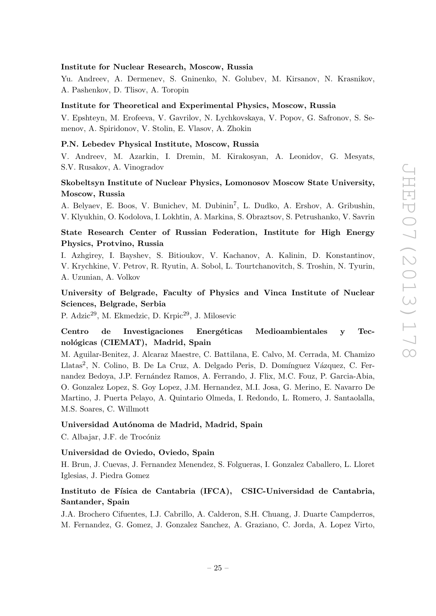#### Institute for Nuclear Research, Moscow, Russia

Yu. Andreev, A. Dermenev, S. Gninenko, N. Golubev, M. Kirsanov, N. Krasnikov, A. Pashenkov, D. Tlisov, A. Toropin

### Institute for Theoretical and Experimental Physics, Moscow, Russia

V. Epshteyn, M. Erofeeva, V. Gavrilov, N. Lychkovskaya, V. Popov, G. Safronov, S. Semenov, A. Spiridonov, V. Stolin, E. Vlasov, A. Zhokin

#### P.N. Lebedev Physical Institute, Moscow, Russia

V. Andreev, M. Azarkin, I. Dremin, M. Kirakosyan, A. Leonidov, G. Mesyats, S.V. Rusakov, A. Vinogradov

## Skobeltsyn Institute of Nuclear Physics, Lomonosov Moscow State University, Moscow, Russia

A. Belyaev, E. Boos, V. Bunichev, M. Dubinin<sup>7</sup>, L. Dudko, A. Ershov, A. Gribushin, V. Klyukhin, O. Kodolova, I. Lokhtin, A. Markina, S. Obraztsov, S. Petrushanko, V. Savrin

## State Research Center of Russian Federation, Institute for High Energy Physics, Protvino, Russia

I. Azhgirey, I. Bayshev, S. Bitioukov, V. Kachanov, A. Kalinin, D. Konstantinov,

V. Krychkine, V. Petrov, R. Ryutin, A. Sobol, L. Tourtchanovitch, S. Troshin, N. Tyurin, A. Uzunian, A. Volkov

## University of Belgrade, Faculty of Physics and Vinca Institute of Nuclear Sciences, Belgrade, Serbia

P. Adzic<sup>29</sup>, M. Ekmedzic, D. Krpic<sup>29</sup>, J. Milosevic

## Centro de Investigaciones Energéticas Medioambientales y Tecnológicas (CIEMAT), Madrid, Spain

M. Aguilar-Benitez, J. Alcaraz Maestre, C. Battilana, E. Calvo, M. Cerrada, M. Chamizo Llatas<sup>2</sup>, N. Colino, B. De La Cruz, A. Delgado Peris, D. Domínguez Vázquez, C. Fernandez Bedoya, J.P. Fernández Ramos, A. Ferrando, J. Flix, M.C. Fouz, P. Garcia-Abia, O. Gonzalez Lopez, S. Goy Lopez, J.M. Hernandez, M.I. Josa, G. Merino, E. Navarro De Martino, J. Puerta Pelayo, A. Quintario Olmeda, I. Redondo, L. Romero, J. Santaolalla, M.S. Soares, C. Willmott

#### Universidad Autónoma de Madrid, Madrid, Spain

C. Albajar, J.F. de Trocóniz

### Universidad de Oviedo, Oviedo, Spain

H. Brun, J. Cuevas, J. Fernandez Menendez, S. Folgueras, I. Gonzalez Caballero, L. Lloret Iglesias, J. Piedra Gomez

## Instituto de Física de Cantabria (IFCA), CSIC-Universidad de Cantabria, Santander, Spain

J.A. Brochero Cifuentes, I.J. Cabrillo, A. Calderon, S.H. Chuang, J. Duarte Campderros, M. Fernandez, G. Gomez, J. Gonzalez Sanchez, A. Graziano, C. Jorda, A. Lopez Virto,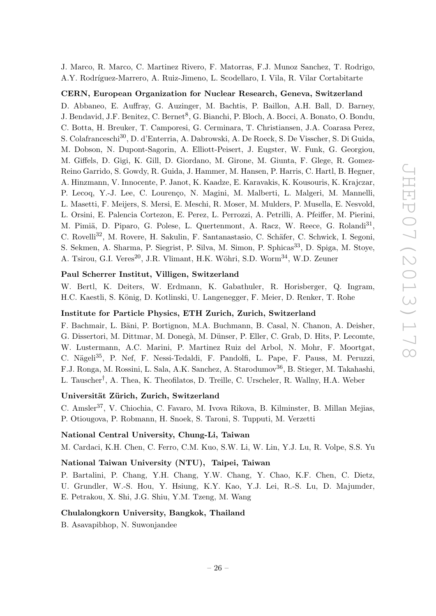J. Marco, R. Marco, C. Martinez Rivero, F. Matorras, F.J. Munoz Sanchez, T. Rodrigo, A.Y. Rodríguez-Marrero, A. Ruiz-Jimeno, L. Scodellaro, I. Vila, R. Vilar Cortabitarte

#### CERN, European Organization for Nuclear Research, Geneva, Switzerland

D. Abbaneo, E. Auffray, G. Auzinger, M. Bachtis, P. Baillon, A.H. Ball, D. Barney, J. Bendavid, J.F. Benitez, C. Bernet<sup>8</sup>, G. Bianchi, P. Bloch, A. Bocci, A. Bonato, O. Bondu, C. Botta, H. Breuker, T. Camporesi, G. Cerminara, T. Christiansen, J.A. Coarasa Perez, S. Colafranceschi30, D. d'Enterria, A. Dabrowski, A. De Roeck, S. De Visscher, S. Di Guida, M. Dobson, N. Dupont-Sagorin, A. Elliott-Peisert, J. Eugster, W. Funk, G. Georgiou, M. Giffels, D. Gigi, K. Gill, D. Giordano, M. Girone, M. Giunta, F. Glege, R. Gomez-Reino Garrido, S. Gowdy, R. Guida, J. Hammer, M. Hansen, P. Harris, C. Hartl, B. Hegner, A. Hinzmann, V. Innocente, P. Janot, K. Kaadze, E. Karavakis, K. Kousouris, K. Krajczar, P. Lecoq, Y.-J. Lee, C. Lourenço, N. Magini, M. Malberti, L. Malgeri, M. Mannelli, L. Masetti, F. Meijers, S. Mersi, E. Meschi, R. Moser, M. Mulders, P. Musella, E. Nesvold, L. Orsini, E. Palencia Cortezon, E. Perez, L. Perrozzi, A. Petrilli, A. Pfeiffer, M. Pierini, M. Pimiä, D. Piparo, G. Polese, L. Quertenmont, A. Racz, W. Reece, G. Rolandi<sup>31</sup>, C. Rovelli<sup>32</sup>, M. Rovere, H. Sakulin, F. Santanastasio, C. Schäfer, C. Schwick, I. Segoni, S. Sekmen, A. Sharma, P. Siegrist, P. Silva, M. Simon, P. Sphicas<sup>33</sup>, D. Spiga, M. Stoye, A. Tsirou, G.I. Veres<sup>20</sup>, J.R. Vlimant, H.K. Wöhri, S.D. Worm<sup>34</sup>, W.D. Zeuner

#### Paul Scherrer Institut, Villigen, Switzerland

W. Bertl, K. Deiters, W. Erdmann, K. Gabathuler, R. Horisberger, Q. Ingram, H.C. Kaestli, S. König, D. Kotlinski, U. Langenegger, F. Meier, D. Renker, T. Rohe

#### Institute for Particle Physics, ETH Zurich, Zurich, Switzerland

F. Bachmair, L. Bäni, P. Bortignon, M.A. Buchmann, B. Casal, N. Chanon, A. Deisher, G. Dissertori, M. Dittmar, M. Donegà, M. Dünser, P. Eller, C. Grab, D. Hits, P. Lecomte, W. Lustermann, A.C. Marini, P. Martinez Ruiz del Arbol, N. Mohr, F. Moortgat, C. Nägeli<sup>35</sup>, P. Nef, F. Nessi-Tedaldi, F. Pandolfi, L. Pape, F. Pauss, M. Peruzzi, F.J. Ronga, M. Rossini, L. Sala, A.K. Sanchez, A. Starodumov<sup>36</sup>, B. Stieger, M. Takahashi, L. Tauscher† , A. Thea, K. Theofilatos, D. Treille, C. Urscheler, R. Wallny, H.A. Weber

#### Universität Zürich, Zurich, Switzerland

C. Amsler<sup>37</sup>, V. Chiochia, C. Favaro, M. Ivova Rikova, B. Kilminster, B. Millan Mejias, P. Otiougova, P. Robmann, H. Snoek, S. Taroni, S. Tupputi, M. Verzetti

## National Central University, Chung-Li, Taiwan

M. Cardaci, K.H. Chen, C. Ferro, C.M. Kuo, S.W. Li, W. Lin, Y.J. Lu, R. Volpe, S.S. Yu

## National Taiwan University (NTU), Taipei, Taiwan

P. Bartalini, P. Chang, Y.H. Chang, Y.W. Chang, Y. Chao, K.F. Chen, C. Dietz, U. Grundler, W.-S. Hou, Y. Hsiung, K.Y. Kao, Y.J. Lei, R.-S. Lu, D. Majumder, E. Petrakou, X. Shi, J.G. Shiu, Y.M. Tzeng, M. Wang

#### Chulalongkorn University, Bangkok, Thailand

B. Asavapibhop, N. Suwonjandee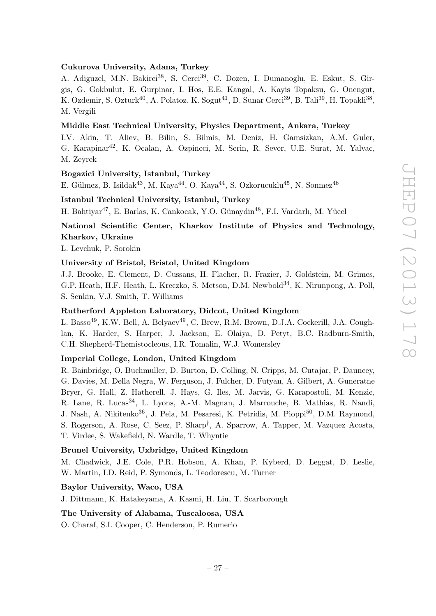### Cukurova University, Adana, Turkey

A. Adiguzel, M.N. Bakirci<sup>38</sup>, S. Cerci<sup>39</sup>, C. Dozen, I. Dumanoglu, E. Eskut, S. Girgis, G. Gokbulut, E. Gurpinar, I. Hos, E.E. Kangal, A. Kayis Topaksu, G. Onengut, K. Ozdemir, S. Ozturk<sup>40</sup>, A. Polatoz, K. Sogut<sup>41</sup>, D. Sunar Cerci<sup>39</sup>, B. Tali<sup>39</sup>, H. Topakli<sup>38</sup>, M. Vergili

#### Middle East Technical University, Physics Department, Ankara, Turkey

I.V. Akin, T. Aliev, B. Bilin, S. Bilmis, M. Deniz, H. Gamsizkan, A.M. Guler, G. Karapinar42, K. Ocalan, A. Ozpineci, M. Serin, R. Sever, U.E. Surat, M. Yalvac, M. Zeyrek

## Bogazici University, Istanbul, Turkey

E. Gülmez, B. Isildak<sup>43</sup>, M. Kaya<sup>44</sup>, O. Kaya<sup>44</sup>, S. Ozkorucuklu<sup>45</sup>, N. Sonmez<sup>46</sup>

## Istanbul Technical University, Istanbul, Turkey

H. Bahtiyar<sup>47</sup>, E. Barlas, K. Cankocak, Y.O. Günaydin<sup>48</sup>, F.I. Vardarlı, M. Yücel

## National Scientific Center, Kharkov Institute of Physics and Technology, Kharkov, Ukraine

L. Levchuk, P. Sorokin

## University of Bristol, Bristol, United Kingdom

J.J. Brooke, E. Clement, D. Cussans, H. Flacher, R. Frazier, J. Goldstein, M. Grimes, G.P. Heath, H.F. Heath, L. Kreczko, S. Metson, D.M. Newbold<sup>34</sup>, K. Nirunpong, A. Poll, S. Senkin, V.J. Smith, T. Williams

## Rutherford Appleton Laboratory, Didcot, United Kingdom

L. Basso<sup>49</sup>, K.W. Bell, A. Belyaev<sup>49</sup>, C. Brew, R.M. Brown, D.J.A. Cockerill, J.A. Coughlan, K. Harder, S. Harper, J. Jackson, E. Olaiya, D. Petyt, B.C. Radburn-Smith, C.H. Shepherd-Themistocleous, I.R. Tomalin, W.J. Womersley

### Imperial College, London, United Kingdom

R. Bainbridge, O. Buchmuller, D. Burton, D. Colling, N. Cripps, M. Cutajar, P. Dauncey, G. Davies, M. Della Negra, W. Ferguson, J. Fulcher, D. Futyan, A. Gilbert, A. Guneratne Bryer, G. Hall, Z. Hatherell, J. Hays, G. Iles, M. Jarvis, G. Karapostoli, M. Kenzie, R. Lane, R. Lucas<sup>34</sup>, L. Lyons, A.-M. Magnan, J. Marrouche, B. Mathias, R. Nandi, J. Nash, A. Nikitenko<sup>36</sup>, J. Pela, M. Pesaresi, K. Petridis, M. Pioppi<sup>50</sup>, D.M. Raymond, S. Rogerson, A. Rose, C. Seez, P. Sharp† , A. Sparrow, A. Tapper, M. Vazquez Acosta, T. Virdee, S. Wakefield, N. Wardle, T. Whyntie

#### Brunel University, Uxbridge, United Kingdom

M. Chadwick, J.E. Cole, P.R. Hobson, A. Khan, P. Kyberd, D. Leggat, D. Leslie, W. Martin, I.D. Reid, P. Symonds, L. Teodorescu, M. Turner

## Baylor University, Waco, USA

J. Dittmann, K. Hatakeyama, A. Kasmi, H. Liu, T. Scarborough

## The University of Alabama, Tuscaloosa, USA

O. Charaf, S.I. Cooper, C. Henderson, P. Rumerio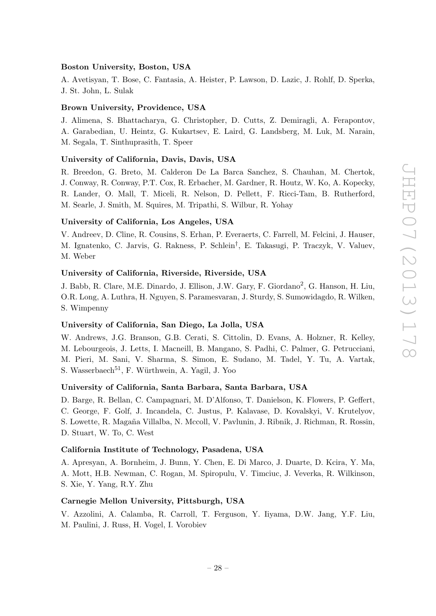## Boston University, Boston, USA

A. Avetisyan, T. Bose, C. Fantasia, A. Heister, P. Lawson, D. Lazic, J. Rohlf, D. Sperka, J. St. John, L. Sulak

### Brown University, Providence, USA

J. Alimena, S. Bhattacharya, G. Christopher, D. Cutts, Z. Demiragli, A. Ferapontov, A. Garabedian, U. Heintz, G. Kukartsev, E. Laird, G. Landsberg, M. Luk, M. Narain, M. Segala, T. Sinthuprasith, T. Speer

#### University of California, Davis, Davis, USA

R. Breedon, G. Breto, M. Calderon De La Barca Sanchez, S. Chauhan, M. Chertok, J. Conway, R. Conway, P.T. Cox, R. Erbacher, M. Gardner, R. Houtz, W. Ko, A. Kopecky, R. Lander, O. Mall, T. Miceli, R. Nelson, D. Pellett, F. Ricci-Tam, B. Rutherford, M. Searle, J. Smith, M. Squires, M. Tripathi, S. Wilbur, R. Yohay

## University of California, Los Angeles, USA

V. Andreev, D. Cline, R. Cousins, S. Erhan, P. Everaerts, C. Farrell, M. Felcini, J. Hauser, M. Ignatenko, C. Jarvis, G. Rakness, P. Schlein† , E. Takasugi, P. Traczyk, V. Valuev, M. Weber

## University of California, Riverside, Riverside, USA

J. Babb, R. Clare, M.E. Dinardo, J. Ellison, J.W. Gary, F. Giordano<sup>2</sup>, G. Hanson, H. Liu, O.R. Long, A. Luthra, H. Nguyen, S. Paramesvaran, J. Sturdy, S. Sumowidagdo, R. Wilken, S. Wimpenny

## University of California, San Diego, La Jolla, USA

W. Andrews, J.G. Branson, G.B. Cerati, S. Cittolin, D. Evans, A. Holzner, R. Kelley, M. Lebourgeois, J. Letts, I. Macneill, B. Mangano, S. Padhi, C. Palmer, G. Petrucciani, M. Pieri, M. Sani, V. Sharma, S. Simon, E. Sudano, M. Tadel, Y. Tu, A. Vartak, S. Wasserbaech<sup>51</sup>, F. Würthwein, A. Yagil, J. Yoo

## University of California, Santa Barbara, Santa Barbara, USA

D. Barge, R. Bellan, C. Campagnari, M. D'Alfonso, T. Danielson, K. Flowers, P. Geffert, C. George, F. Golf, J. Incandela, C. Justus, P. Kalavase, D. Kovalskyi, V. Krutelyov, S. Lowette, R. Magaña Villalba, N. Mccoll, V. Pavlunin, J. Ribnik, J. Richman, R. Rossin, D. Stuart, W. To, C. West

#### California Institute of Technology, Pasadena, USA

A. Apresyan, A. Bornheim, J. Bunn, Y. Chen, E. Di Marco, J. Duarte, D. Kcira, Y. Ma, A. Mott, H.B. Newman, C. Rogan, M. Spiropulu, V. Timciuc, J. Veverka, R. Wilkinson, S. Xie, Y. Yang, R.Y. Zhu

## Carnegie Mellon University, Pittsburgh, USA

V. Azzolini, A. Calamba, R. Carroll, T. Ferguson, Y. Iiyama, D.W. Jang, Y.F. Liu, M. Paulini, J. Russ, H. Vogel, I. Vorobiev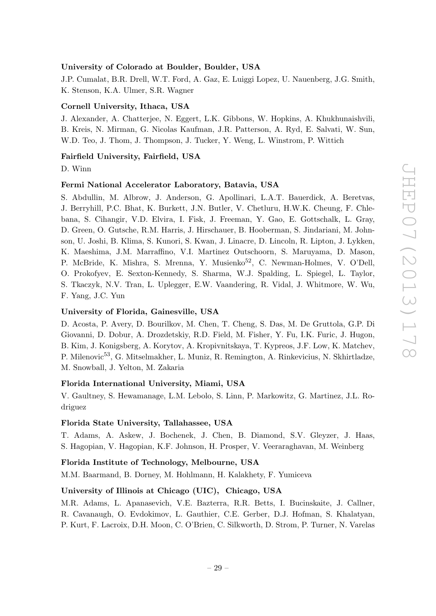### University of Colorado at Boulder, Boulder, USA

J.P. Cumalat, B.R. Drell, W.T. Ford, A. Gaz, E. Luiggi Lopez, U. Nauenberg, J.G. Smith, K. Stenson, K.A. Ulmer, S.R. Wagner

#### Cornell University, Ithaca, USA

J. Alexander, A. Chatterjee, N. Eggert, L.K. Gibbons, W. Hopkins, A. Khukhunaishvili, B. Kreis, N. Mirman, G. Nicolas Kaufman, J.R. Patterson, A. Ryd, E. Salvati, W. Sun, W.D. Teo, J. Thom, J. Thompson, J. Tucker, Y. Weng, L. Winstrom, P. Wittich

#### Fairfield University, Fairfield, USA

D. Winn

### Fermi National Accelerator Laboratory, Batavia, USA

S. Abdullin, M. Albrow, J. Anderson, G. Apollinari, L.A.T. Bauerdick, A. Beretvas, J. Berryhill, P.C. Bhat, K. Burkett, J.N. Butler, V. Chetluru, H.W.K. Cheung, F. Chlebana, S. Cihangir, V.D. Elvira, I. Fisk, J. Freeman, Y. Gao, E. Gottschalk, L. Gray, D. Green, O. Gutsche, R.M. Harris, J. Hirschauer, B. Hooberman, S. Jindariani, M. Johnson, U. Joshi, B. Klima, S. Kunori, S. Kwan, J. Linacre, D. Lincoln, R. Lipton, J. Lykken, K. Maeshima, J.M. Marraffino, V.I. Martinez Outschoorn, S. Maruyama, D. Mason, P. McBride, K. Mishra, S. Mrenna, Y. Musienko<sup>52</sup>, C. Newman-Holmes, V. O'Dell, O. Prokofyev, E. Sexton-Kennedy, S. Sharma, W.J. Spalding, L. Spiegel, L. Taylor, S. Tkaczyk, N.V. Tran, L. Uplegger, E.W. Vaandering, R. Vidal, J. Whitmore, W. Wu, F. Yang, J.C. Yun

### University of Florida, Gainesville, USA

D. Acosta, P. Avery, D. Bourilkov, M. Chen, T. Cheng, S. Das, M. De Gruttola, G.P. Di Giovanni, D. Dobur, A. Drozdetskiy, R.D. Field, M. Fisher, Y. Fu, I.K. Furic, J. Hugon, B. Kim, J. Konigsberg, A. Korytov, A. Kropivnitskaya, T. Kypreos, J.F. Low, K. Matchev, P. Milenovic<sup>53</sup>, G. Mitselmakher, L. Muniz, R. Remington, A. Rinkevicius, N. Skhirtladze, M. Snowball, J. Yelton, M. Zakaria

#### Florida International University, Miami, USA

V. Gaultney, S. Hewamanage, L.M. Lebolo, S. Linn, P. Markowitz, G. Martinez, J.L. Rodriguez

## Florida State University, Tallahassee, USA

T. Adams, A. Askew, J. Bochenek, J. Chen, B. Diamond, S.V. Gleyzer, J. Haas, S. Hagopian, V. Hagopian, K.F. Johnson, H. Prosper, V. Veeraraghavan, M. Weinberg

## Florida Institute of Technology, Melbourne, USA

M.M. Baarmand, B. Dorney, M. Hohlmann, H. Kalakhety, F. Yumiceva

## University of Illinois at Chicago (UIC), Chicago, USA

M.R. Adams, L. Apanasevich, V.E. Bazterra, R.R. Betts, I. Bucinskaite, J. Callner, R. Cavanaugh, O. Evdokimov, L. Gauthier, C.E. Gerber, D.J. Hofman, S. Khalatyan, P. Kurt, F. Lacroix, D.H. Moon, C. O'Brien, C. Silkworth, D. Strom, P. Turner, N. Varelas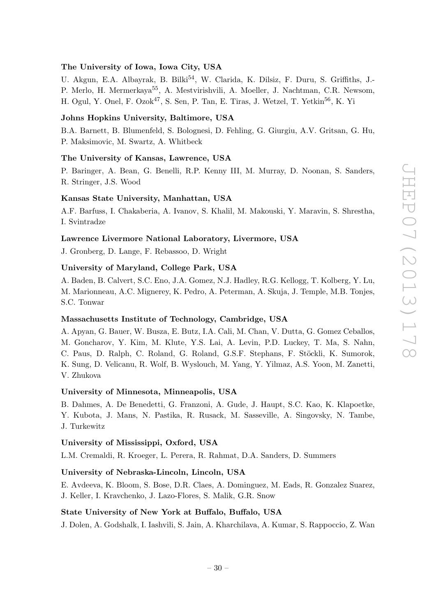### The University of Iowa, Iowa City, USA

U. Akgun, E.A. Albayrak, B. Bilki<sup>54</sup>, W. Clarida, K. Dilsiz, F. Duru, S. Griffiths, J.-P. Merlo, H. Mermerkaya<sup>55</sup>, A. Mestvirishvili, A. Moeller, J. Nachtman, C.R. Newsom, H. Ogul, Y. Onel, F. Ozok<sup>47</sup>, S. Sen, P. Tan, E. Tiras, J. Wetzel, T. Yetkin<sup>56</sup>, K. Yi

### Johns Hopkins University, Baltimore, USA

B.A. Barnett, B. Blumenfeld, S. Bolognesi, D. Fehling, G. Giurgiu, A.V. Gritsan, G. Hu, P. Maksimovic, M. Swartz, A. Whitbeck

### The University of Kansas, Lawrence, USA

P. Baringer, A. Bean, G. Benelli, R.P. Kenny III, M. Murray, D. Noonan, S. Sanders, R. Stringer, J.S. Wood

### Kansas State University, Manhattan, USA

A.F. Barfuss, I. Chakaberia, A. Ivanov, S. Khalil, M. Makouski, Y. Maravin, S. Shrestha, I. Svintradze

## Lawrence Livermore National Laboratory, Livermore, USA

J. Gronberg, D. Lange, F. Rebassoo, D. Wright

## University of Maryland, College Park, USA

A. Baden, B. Calvert, S.C. Eno, J.A. Gomez, N.J. Hadley, R.G. Kellogg, T. Kolberg, Y. Lu, M. Marionneau, A.C. Mignerey, K. Pedro, A. Peterman, A. Skuja, J. Temple, M.B. Tonjes, S.C. Tonwar

### Massachusetts Institute of Technology, Cambridge, USA

A. Apyan, G. Bauer, W. Busza, E. Butz, I.A. Cali, M. Chan, V. Dutta, G. Gomez Ceballos, M. Goncharov, Y. Kim, M. Klute, Y.S. Lai, A. Levin, P.D. Luckey, T. Ma, S. Nahn, C. Paus, D. Ralph, C. Roland, G. Roland, G.S.F. Stephans, F. Stöckli, K. Sumorok, K. Sung, D. Velicanu, R. Wolf, B. Wyslouch, M. Yang, Y. Yilmaz, A.S. Yoon, M. Zanetti, V. Zhukova

### University of Minnesota, Minneapolis, USA

B. Dahmes, A. De Benedetti, G. Franzoni, A. Gude, J. Haupt, S.C. Kao, K. Klapoetke, Y. Kubota, J. Mans, N. Pastika, R. Rusack, M. Sasseville, A. Singovsky, N. Tambe, J. Turkewitz

#### University of Mississippi, Oxford, USA

L.M. Cremaldi, R. Kroeger, L. Perera, R. Rahmat, D.A. Sanders, D. Summers

### University of Nebraska-Lincoln, Lincoln, USA

E. Avdeeva, K. Bloom, S. Bose, D.R. Claes, A. Dominguez, M. Eads, R. Gonzalez Suarez, J. Keller, I. Kravchenko, J. Lazo-Flores, S. Malik, G.R. Snow

#### State University of New York at Buffalo, Buffalo, USA

J. Dolen, A. Godshalk, I. Iashvili, S. Jain, A. Kharchilava, A. Kumar, S. Rappoccio, Z. Wan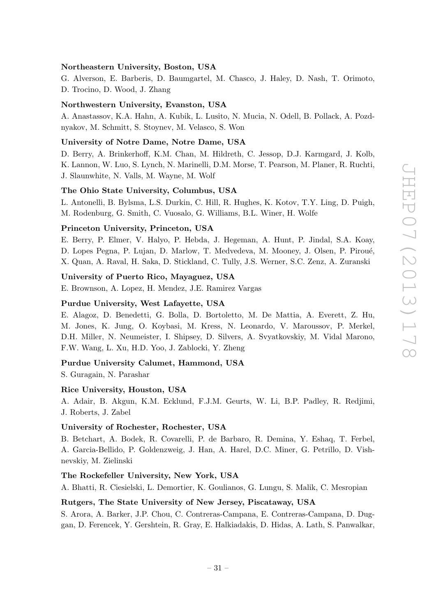#### Northeastern University, Boston, USA

G. Alverson, E. Barberis, D. Baumgartel, M. Chasco, J. Haley, D. Nash, T. Orimoto, D. Trocino, D. Wood, J. Zhang

#### Northwestern University, Evanston, USA

A. Anastassov, K.A. Hahn, A. Kubik, L. Lusito, N. Mucia, N. Odell, B. Pollack, A. Pozdnyakov, M. Schmitt, S. Stoynev, M. Velasco, S. Won

## University of Notre Dame, Notre Dame, USA

D. Berry, A. Brinkerhoff, K.M. Chan, M. Hildreth, C. Jessop, D.J. Karmgard, J. Kolb, K. Lannon, W. Luo, S. Lynch, N. Marinelli, D.M. Morse, T. Pearson, M. Planer, R. Ruchti, J. Slaunwhite, N. Valls, M. Wayne, M. Wolf

#### The Ohio State University, Columbus, USA

L. Antonelli, B. Bylsma, L.S. Durkin, C. Hill, R. Hughes, K. Kotov, T.Y. Ling, D. Puigh, M. Rodenburg, G. Smith, C. Vuosalo, G. Williams, B.L. Winer, H. Wolfe

### Princeton University, Princeton, USA

E. Berry, P. Elmer, V. Halyo, P. Hebda, J. Hegeman, A. Hunt, P. Jindal, S.A. Koay, D. Lopes Pegna, P. Lujan, D. Marlow, T. Medvedeva, M. Mooney, J. Olsen, P. Piroué, X. Quan, A. Raval, H. Saka, D. Stickland, C. Tully, J.S. Werner, S.C. Zenz, A. Zuranski

#### University of Puerto Rico, Mayaguez, USA

E. Brownson, A. Lopez, H. Mendez, J.E. Ramirez Vargas

#### Purdue University, West Lafayette, USA

E. Alagoz, D. Benedetti, G. Bolla, D. Bortoletto, M. De Mattia, A. Everett, Z. Hu, M. Jones, K. Jung, O. Koybasi, M. Kress, N. Leonardo, V. Maroussov, P. Merkel, D.H. Miller, N. Neumeister, I. Shipsey, D. Silvers, A. Svyatkovskiy, M. Vidal Marono, F.W. Wang, L. Xu, H.D. Yoo, J. Zablocki, Y. Zheng

#### Purdue University Calumet, Hammond, USA

S. Guragain, N. Parashar

#### Rice University, Houston, USA

A. Adair, B. Akgun, K.M. Ecklund, F.J.M. Geurts, W. Li, B.P. Padley, R. Redjimi, J. Roberts, J. Zabel

### University of Rochester, Rochester, USA

B. Betchart, A. Bodek, R. Covarelli, P. de Barbaro, R. Demina, Y. Eshaq, T. Ferbel, A. Garcia-Bellido, P. Goldenzweig, J. Han, A. Harel, D.C. Miner, G. Petrillo, D. Vishnevskiy, M. Zielinski

## The Rockefeller University, New York, USA

A. Bhatti, R. Ciesielski, L. Demortier, K. Goulianos, G. Lungu, S. Malik, C. Mesropian

#### Rutgers, The State University of New Jersey, Piscataway, USA

S. Arora, A. Barker, J.P. Chou, C. Contreras-Campana, E. Contreras-Campana, D. Duggan, D. Ferencek, Y. Gershtein, R. Gray, E. Halkiadakis, D. Hidas, A. Lath, S. Panwalkar,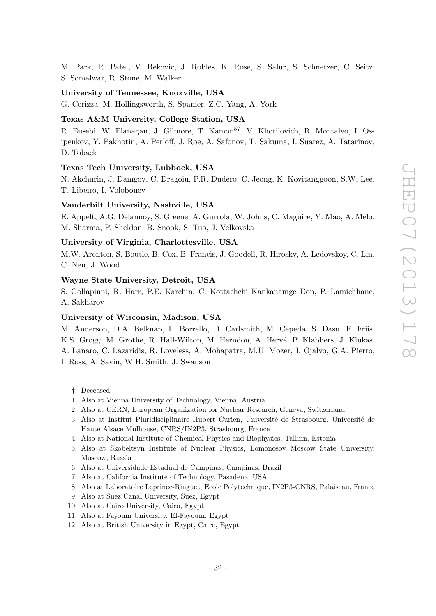M. Park, R. Patel, V. Rekovic, J. Robles, K. Rose, S. Salur, S. Schnetzer, C. Seitz, S. Somalwar, R. Stone, M. Walker

#### University of Tennessee, Knoxville, USA

G. Cerizza, M. Hollingsworth, S. Spanier, Z.C. Yang, A. York

## Texas A&M University, College Station, USA

R. Eusebi, W. Flanagan, J. Gilmore, T. Kamon<sup>57</sup>, V. Khotilovich, R. Montalvo, I. Osipenkov, Y. Pakhotin, A. Perloff, J. Roe, A. Safonov, T. Sakuma, I. Suarez, A. Tatarinov, D. Toback

#### Texas Tech University, Lubbock, USA

N. Akchurin, J. Damgov, C. Dragoiu, P.R. Dudero, C. Jeong, K. Kovitanggoon, S.W. Lee, T. Libeiro, I. Volobouev

#### Vanderbilt University, Nashville, USA

E. Appelt, A.G. Delannoy, S. Greene, A. Gurrola, W. Johns, C. Maguire, Y. Mao, A. Melo, M. Sharma, P. Sheldon, B. Snook, S. Tuo, J. Velkovska

#### University of Virginia, Charlottesville, USA

M.W. Arenton, S. Boutle, B. Cox, B. Francis, J. Goodell, R. Hirosky, A. Ledovskoy, C. Lin, C. Neu, J. Wood

#### Wayne State University, Detroit, USA

S. Gollapinni, R. Harr, P.E. Karchin, C. Kottachchi Kankanamge Don, P. Lamichhane, A. Sakharov

### University of Wisconsin, Madison, USA

M. Anderson, D.A. Belknap, L. Borrello, D. Carlsmith, M. Cepeda, S. Dasu, E. Friis, K.S. Grogg, M. Grothe, R. Hall-Wilton, M. Herndon, A. Hervé, P. Klabbers, J. Klukas, A. Lanaro, C. Lazaridis, R. Loveless, A. Mohapatra, M.U. Mozer, I. Ojalvo, G.A. Pierro, I. Ross, A. Savin, W.H. Smith, J. Swanson

- †: Deceased
- 1: Also at Vienna University of Technology, Vienna, Austria
- 2: Also at CERN, European Organization for Nuclear Research, Geneva, Switzerland
- 3: Also at Institut Pluridisciplinaire Hubert Curien, Université de Strasbourg, Université de Haute Alsace Mulhouse, CNRS/IN2P3, Strasbourg, France
- 4: Also at National Institute of Chemical Physics and Biophysics, Tallinn, Estonia
- 5: Also at Skobeltsyn Institute of Nuclear Physics, Lomonosov Moscow State University, Moscow, Russia
- 6: Also at Universidade Estadual de Campinas, Campinas, Brazil
- 7: Also at California Institute of Technology, Pasadena, USA
- 8: Also at Laboratoire Leprince-Ringuet, Ecole Polytechnique, IN2P3-CNRS, Palaiseau, France
- 9: Also at Suez Canal University, Suez, Egypt
- 10: Also at Cairo University, Cairo, Egypt
- 11: Also at Fayoum University, El-Fayoum, Egypt
- 12: Also at British University in Egypt, Cairo, Egypt